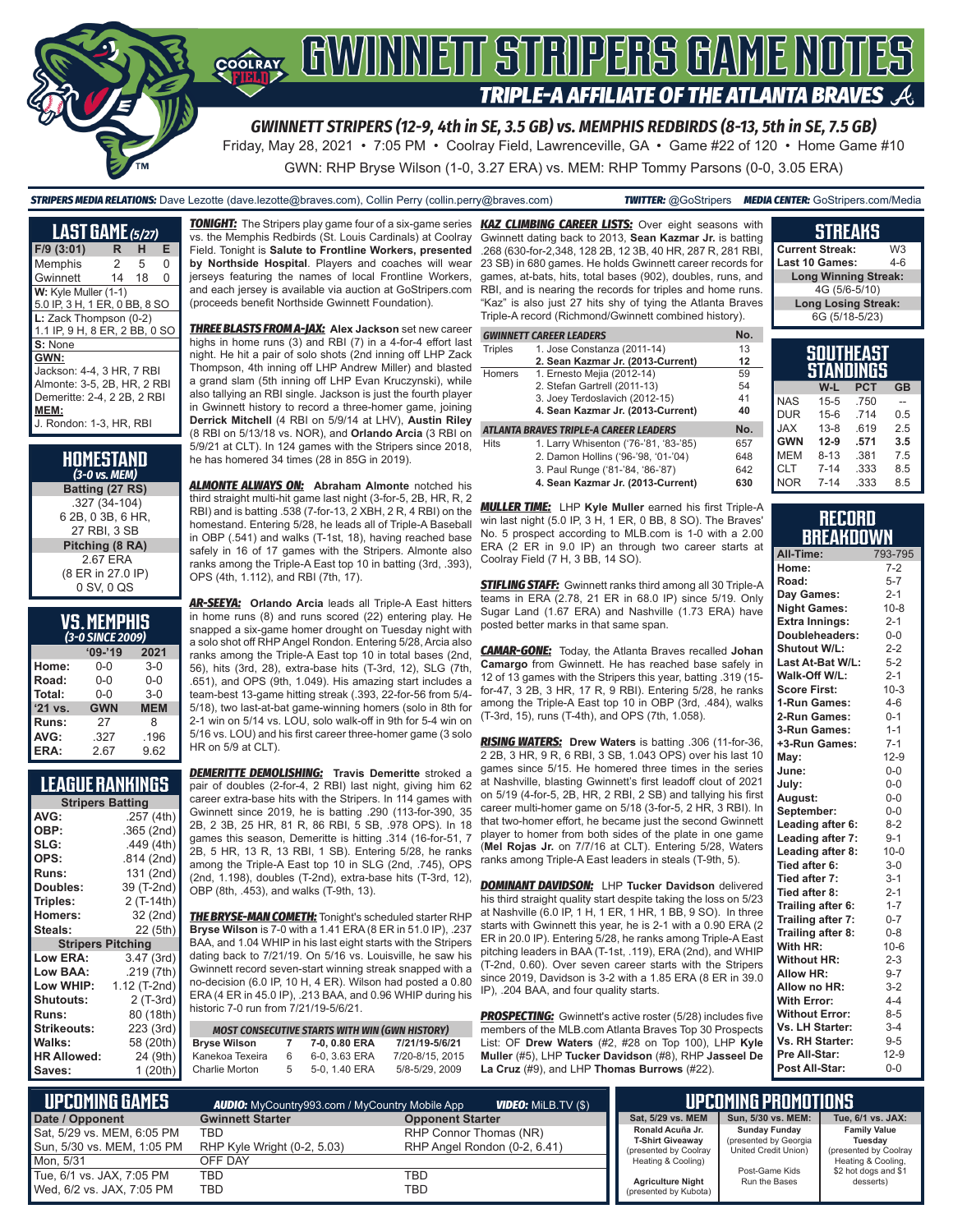

Friday, May 28, 2021 • 7:05 PM • Coolray Field, Lawrenceville, GA • Game #22 of 120 • Home Game #10

GWN: RHP Bryse Wilson (1-0, 3.27 ERA) vs. MEM: RHP Tommy Parsons (0-0, 3.05 ERA)

*STRIPERS MEDIA RELATIONS:* Dave Lezotte (dave.lezotte@braves.com), Collin Perry (collin.perry@braves.com) *TWITTER:* @GoStripers *MEDIA CENTER:* GoStripers.com/Media

| <b>LAST GAME (5/27)</b>       |    |    |   |
|-------------------------------|----|----|---|
| $F/9$ (3:01)                  | R  | н  | Е |
| Memphis                       | 2  | 5  | O |
| Gwinnett                      | 14 | 18 | 0 |
| W: Kyle Muller (1-1)          |    |    |   |
| 5.0 IP, 3 H, 1 ER, 0 BB, 8 SO |    |    |   |
| L: Zack Thompson (0-2)        |    |    |   |
| 1.1 IP, 9 H, 8 ER, 2 BB, 0 SO |    |    |   |
| S: None                       |    |    |   |
| GWN:                          |    |    |   |
| Jackson: 4-4, 3 HR, 7 RBI     |    |    |   |
| Almonte: 3-5, 2B, HR, 2 RBI   |    |    |   |
| Demeritte: 2-4, 2 2B, 2 RBI   |    |    |   |
| MEM:                          |    |    |   |
| J. Rondon: 1-3, HR, RBI       |    |    |   |

| HOMESTAND<br>(3-0 vs. MEM) |
|----------------------------|
| Batting (27 RS)            |
| .327 (34-104)              |
| 6 2B, 0 3B, 6 HR,          |
| 27 RBI. 3 SB               |
| Pitching (8 RA)            |
| 2.67 ERA                   |
| (8 ER in 27.0 IP)          |
| 0 SV, 0 QS                 |

| <b>VS. MEMPHIS</b>     |  |  |
|------------------------|--|--|
| $\alpha$ a curre sanal |  |  |

| (3-0 SINCE 2009) |            |            |  |  |  |
|------------------|------------|------------|--|--|--|
|                  | $09 - 19$  | 2021       |  |  |  |
| Home:            | 0-0        | $3-0$      |  |  |  |
| Road:            | $0 - 0$    | $0 - 0$    |  |  |  |
| Total:           | $0 - 0$    | $3-0$      |  |  |  |
| '21 vs.          | <b>GWN</b> | <b>MEM</b> |  |  |  |
| Runs:            | 27         | 8          |  |  |  |
| AVG:             | .327       | .196       |  |  |  |
| ERA:             | 2.67       | 9.62       |  |  |  |

| <b>LEAGUE RANKINGS</b> |
|------------------------|
|------------------------|

| <b>Stripers Batting</b>  |              |
|--------------------------|--------------|
| AVG:                     | .257 (4th)   |
| OBP:                     | .365 (2nd)   |
| SLG:                     | .449 (4th)   |
| OPS:                     | .814 (2nd)   |
| <b>Runs:</b>             | 131 (2nd)    |
| <b>Doubles:</b>          | 39 (T-2nd)   |
| Triples:                 | 2 (T-14th)   |
| <b>Homers:</b>           | 32 (2nd)     |
| Steals:                  | 22 (5th)     |
| <b>Stripers Pitching</b> |              |
| <b>Low ERA:</b>          | 3.47 (3rd)   |
| Low BAA:                 | .219 (7th)   |
| Low WHIP:                | 1.12 (T-2nd) |
| <b>Shutouts:</b>         | 2 (T-3rd)    |
| <b>Runs:</b>             | 80 (18th)    |
| <b>Strikeouts:</b>       | 223 (3rd)    |
| Walks:                   | 58 (20th)    |
| <b>HR Allowed:</b>       | 24 (9th)     |
| Saves:                   | 1 (20th)     |
|                          |              |

vs. the Memphis Redbirds (St. Louis Cardinals) at Coolray Field. Tonight is **Salute to Frontline Workers, presented by Northside Hospital**. Players and coaches will wear jerseys featuring the names of local Frontline Workers, and each jersey is available via auction at GoStripers.com (proceeds benefit Northside Gwinnett Foundation).

*THREE BLASTS FROM A-JAX:* **Alex Jackson** set new career highs in home runs (3) and RBI (7) in a 4-for-4 effort last night. He hit a pair of solo shots (2nd inning off LHP Zack Thompson, 4th inning off LHP Andrew Miller) and blasted a grand slam (5th inning off LHP Evan Kruczynski), while also tallying an RBI single. Jackson is just the fourth player in Gwinnett history to record a three-homer game, joining **Derrick Mitchell** (4 RBI on 5/9/14 at LHV), **Austin Riley** (8 RBI on 5/13/18 vs. NOR), and **Orlando Arcia** (3 RBI on 5/9/21 at CLT). In 124 games with the Stripers since 2018, he has homered 34 times (28 in 85G in 2019).

*ALMONTE ALWAYS ON:* **Abraham Almonte** notched his third straight multi-hit game last night (3-for-5, 2B, HR, R, 2 RBI) and is batting .538 (7-for-13, 2 XBH, 2 R, 4 RBI) on the homestand. Entering 5/28, he leads all of Triple-A Baseball in OBP (.541) and walks (T-1st, 18), having reached base safely in 16 of 17 games with the Stripers. Almonte also ranks among the Triple-A East top 10 in batting (3rd, .393), OPS (4th, 1.112), and RBI (7th, 17).

*AR-SEEYA:* **Orlando Arcia** leads all Triple-A East hitters in home runs (8) and runs scored (22) entering play. He snapped a six-game homer drought on Tuesday night with a solo shot off RHP Angel Rondon. Entering 5/28, Arcia also ranks among the Triple-A East top 10 in total bases (2nd, 56), hits (3rd, 28), extra-base hits (T-3rd, 12), SLG (7th, .651), and OPS (9th, 1.049). His amazing start includes a team-best 13-game hitting streak (.393, 22-for-56 from 5/4- 5/18), two last-at-bat game-winning homers (solo in 8th for 2-1 win on 5/14 vs. LOU, solo walk-off in 9th for 5-4 win on 5/16 vs. LOU) and his first career three-homer game (3 solo HR on 5/9 at CLT).

*DEMERITTE DEMOLISHING:* **Travis Demeritte** stroked a pair of doubles (2-for-4, 2 RBI) last night, giving him 62 career extra-base hits with the Stripers. In 114 games with Gwinnett since 2019, he is batting .290 (113-for-390, 35 2B, 2 3B, 25 HR, 81 R, 86 RBI, 5 SB, .978 OPS). In 18 games this season, Demeritte is hitting .314 (16-for-51, 7 2B, 5 HR, 13 R, 13 RBI, 1 SB). Entering 5/28, he ranks among the Triple-A East top 10 in SLG (2nd, .745), OPS (2nd, 1.198), doubles (T-2nd), extra-base hits (T-3rd, 12), OBP (8th, .453), and walks (T-9th, 13).

*THE BRYSE-MAN COMETH:* Tonight's scheduled starter RHP **Bryse Wilson** is 7-0 with a 1.41 ERA (8 ER in 51.0 IP), .237 BAA, and 1.04 WHIP in his last eight starts with the Stripers dating back to 7/21/19. On 5/16 vs. Louisville, he saw his Gwinnett record seven-start winning streak snapped with a no-decision (6.0 IP, 10 H, 4 ER). Wilson had posted a 0.80 ERA (4 ER in 45.0 IP), .213 BAA, and 0.96 WHIP during his historic 7-0 run from 7/21/19-5/6/21.

|                     |              | <b>MOST CONSECUTIVE STARTS WITH WIN (GWN HISTORY)</b> |                 |
|---------------------|--------------|-------------------------------------------------------|-----------------|
| <b>Bryse Wilson</b> | $\mathbf{7}$ | 7-0, 0.80 ERA                                         | 7/21/19-5/6/21  |
| Kanekoa Texeira     | 6            | 6-0.3.63 ERA                                          | 7/20-8/15, 2015 |
| Charlie Morton      | .5           | 5-0, 1.40 ERA                                         | 5/8-5/29, 2009  |

*TONIGHT:* The Stripers play game four of a six-game series *KAZ CLIMBING CAREER LISTS:* Over eight seasons with Gwinnett dating back to 2013, **Sean Kazmar Jr.** is batting .268 (630-for-2,348, 128 2B, 12 3B, 40 HR, 287 R, 281 RBI, 23 SB) in 680 games. He holds Gwinnett career records for games, at-bats, hits, total bases (902), doubles, runs, and RBI, and is nearing the records for triples and home runs. "Kaz" is also just 27 hits shy of tying the Atlanta Braves Triple-A record (Richmond/Gwinnett combined history).

|                | <b>GWINNETT CAREER LEADERS</b>         | No. |
|----------------|----------------------------------------|-----|
| <b>Triples</b> | 1. Jose Constanza (2011-14)            | 13  |
|                | 2. Sean Kazmar Jr. (2013-Current)      | 12  |
| <b>Homers</b>  | 1. Ernesto Mejia (2012-14)             | 59  |
|                | 2. Stefan Gartrell (2011-13)           | 54  |
|                | 3. Joey Terdoslavich (2012-15)         | 41  |
|                | 4. Sean Kazmar Jr. (2013-Current)      | 40  |
|                | ATLANTA BRAVES TRIPLE-A CAREER LEADERS | No. |
| <b>Hits</b>    | 1. Larry Whisenton ('76-'81, '83-'85)  | 657 |
|                | 2. Damon Hollins ('96-'98, '01-'04)    | 648 |
|                | 3. Paul Runge ('81-'84, '86-'87)       | 642 |
|                | 4. Sean Kazmar Jr. (2013-Current)      | 630 |

*MULLER TIME:* LHP **Kyle Muller** earned his first Triple-A win last night (5.0 IP, 3 H, 1 ER, 0 BB, 8 SO). The Braves' No. 5 prospect according to MLB.com is 1-0 with a 2.00 ERA (2 ER in 9.0 IP) an through two career starts at Coolray Field (7 H, 3 BB, 14 SO).

*STIFLING STAFF:* Gwinnett ranks third among all 30 Triple-A teams in ERA (2.78, 21 ER in 68.0 IP) since 5/19. Only Sugar Land (1.67 ERA) and Nashville (1.73 ERA) have posted better marks in that same span.

*CAMAR-GONE:* Today, the Atlanta Braves recalled **Johan Camargo** from Gwinnett. He has reached base safely in 12 of 13 games with the Stripers this year, batting .319 (15 for-47, 3 2B, 3 HR, 17 R, 9 RBI). Entering 5/28, he ranks among the Triple-A East top 10 in OBP (3rd, .484), walks (T-3rd, 15), runs (T-4th), and OPS (7th, 1.058).

*RISING WATERS:* **Drew Waters** is batting .306 (11-for-36, 2 2B, 3 HR, 9 R, 6 RBI, 3 SB, 1.043 OPS) over his last 10 games since 5/15. He homered three times in the series at Nashville, blasting Gwinnett's first leadoff clout of 2021 on 5/19 (4-for-5, 2B, HR, 2 RBI, 2 SB) and tallying his first career multi-homer game on 5/18 (3-for-5, 2 HR, 3 RBI). In that two-homer effort, he became just the second Gwinnett player to homer from both sides of the plate in one game (**Mel Rojas Jr.** on 7/7/16 at CLT). Entering 5/28, Waters ranks among Triple-A East leaders in steals (T-9th, 5).

*DOMINANT DAVIDSON:* LHP **Tucker Davidson** delivered his third straight quality start despite taking the loss on 5/23 at Nashville (6.0 IP, 1 H, 1 ER, 1 HR, 1 BB, 9 SO). In three starts with Gwinnett this year, he is 2-1 with a 0.90 ERA (2 ER in 20.0 IP). Entering 5/28, he ranks among Triple-A East pitching leaders in BAA (T-1st, .119), ERA (2nd), and WHIP (T-2nd, 0.60). Over seven career starts with the Stripers since 2019, Davidson is 3-2 with a 1.85 ERA (8 ER in 39.0 IP), .204 BAA, and four quality starts.

**PROSPECTING:** Gwinnett's active roster (5/28) includes five members of the MLB.com Atlanta Braves Top 30 Prospects List: OF **Drew Waters** (#2, #28 on Top 100), LHP **Kyle Muller** (#5), LHP **Tucker Davidson** (#8), RHP **Jasseel De La Cruz** (#9), and LHP **Thomas Burrows** (#22).

| <b>Current Streak:</b>        | W3  |
|-------------------------------|-----|
| Last 10 Games:                | 4-6 |
| <b>Long Winning Streak:</b>   |     |
| 4G (5/6-5/10)                 |     |
| <b>Long Losing Streak:</b>    |     |
| 6G (5/18-5/23)                |     |
|                               |     |
| <b>SOUTHEAST</b><br>STANDINGS |     |

**STREAKS**

|            | SIANUINGS |            |           |
|------------|-----------|------------|-----------|
|            | W-L       | <b>PCT</b> | <b>GB</b> |
| <b>NAS</b> | $15 - 5$  | .750       |           |
| <b>DUR</b> | $15 - 6$  | .714       | 0.5       |
| <b>JAX</b> | $13 - 8$  | .619       | 2.5       |
| <b>GWN</b> | $12-9$    | .571       | 3.5       |
| <b>MEM</b> | $8 - 13$  | .381       | 7.5       |
| <b>CLT</b> | $7 - 14$  | .333       | 8.5       |
| <b>NOR</b> | $7 - 14$  | .333       | 8.5       |

#### **RECORD BREAKDOWN**

| All-Time:             | 793-795  |
|-----------------------|----------|
| Home:                 | $7 - 2$  |
| Road:                 | $5 - 7$  |
| Day Games:            | $2 - 1$  |
| <b>Night Games:</b>   | $10 - 8$ |
| <b>Extra Innings:</b> | $2 - 1$  |
| Doubleheaders:        | $0-0$    |
| <b>Shutout W/L:</b>   | $2 - 2$  |
| Last At-Bat W/L:      | $5 - 2$  |
| Walk-Off W/L:         | $2 - 1$  |
| <b>Score First:</b>   | $10-3$   |
| 1-Run Games:          | $4 - 6$  |
| 2-Run Games:          | $0 - 1$  |
| 3-Run Games:          | $1 - 1$  |
| +3-Run Games:         | $7 - 1$  |
| May:                  | $12-9$   |
| June:                 | $0 - 0$  |
| Julv:                 | $0-0$    |
| August:               | $0-0$    |
| September:            | $0-0$    |
| Leading after 6:      | $8 - 2$  |
| Leading after 7:      | $9 - 1$  |
| Leading after 8:      | $10 - 0$ |
| Tied after 6:         | $3-0$    |
| Tied after 7:         | $3 - 1$  |
| Tied after 8:         | $2 - 1$  |
| Trailing after 6:     | $1 - 7$  |
| Trailing after 7:     | $0 - 7$  |
| Trailing after 8:     | $0 - 8$  |
| With HR:              | $10-6$   |
| <b>Without HR:</b>    | $2 - 3$  |
| <b>Allow HR:</b>      | $9 - 7$  |
| Allow no HR:          | $3 - 2$  |
| <b>With Error:</b>    | $4 - 4$  |
| <b>Without Error:</b> | $8 - 5$  |
| Vs. LH Starter:       | $3 - 4$  |
| Vs. RH Starter:       | $9 - 5$  |
| Pre All-Star:         | $12-9$   |
| Post All-Star:        | $0 - 0$  |

| <b>Necoming Games</b>      | <b>AUDIO:</b> MyCountry993.com / MyCountry Mobile App | <b>VIDEO:</b> MILB.TV (\$)   |  |
|----------------------------|-------------------------------------------------------|------------------------------|--|
| Date / Opponent            | <b>Gwinnett Starter</b>                               | <b>Opponent Starter</b>      |  |
| Sat, 5/29 vs. MEM, 6:05 PM | TBD                                                   | RHP Connor Thomas (NR)       |  |
| Sun, 5/30 vs. MEM, 1:05 PM | RHP Kyle Wright (0-2, 5.03)                           | RHP Angel Rondon (0-2, 6.41) |  |
| Mon. 5/31                  | OFF DAY                                               |                              |  |
| Tue, 6/1 vs. JAX, 7:05 PM  | TBD                                                   | TBD                          |  |
| Wed, 6/2 vs. JAX, 7:05 PM  | TBD                                                   | TBD                          |  |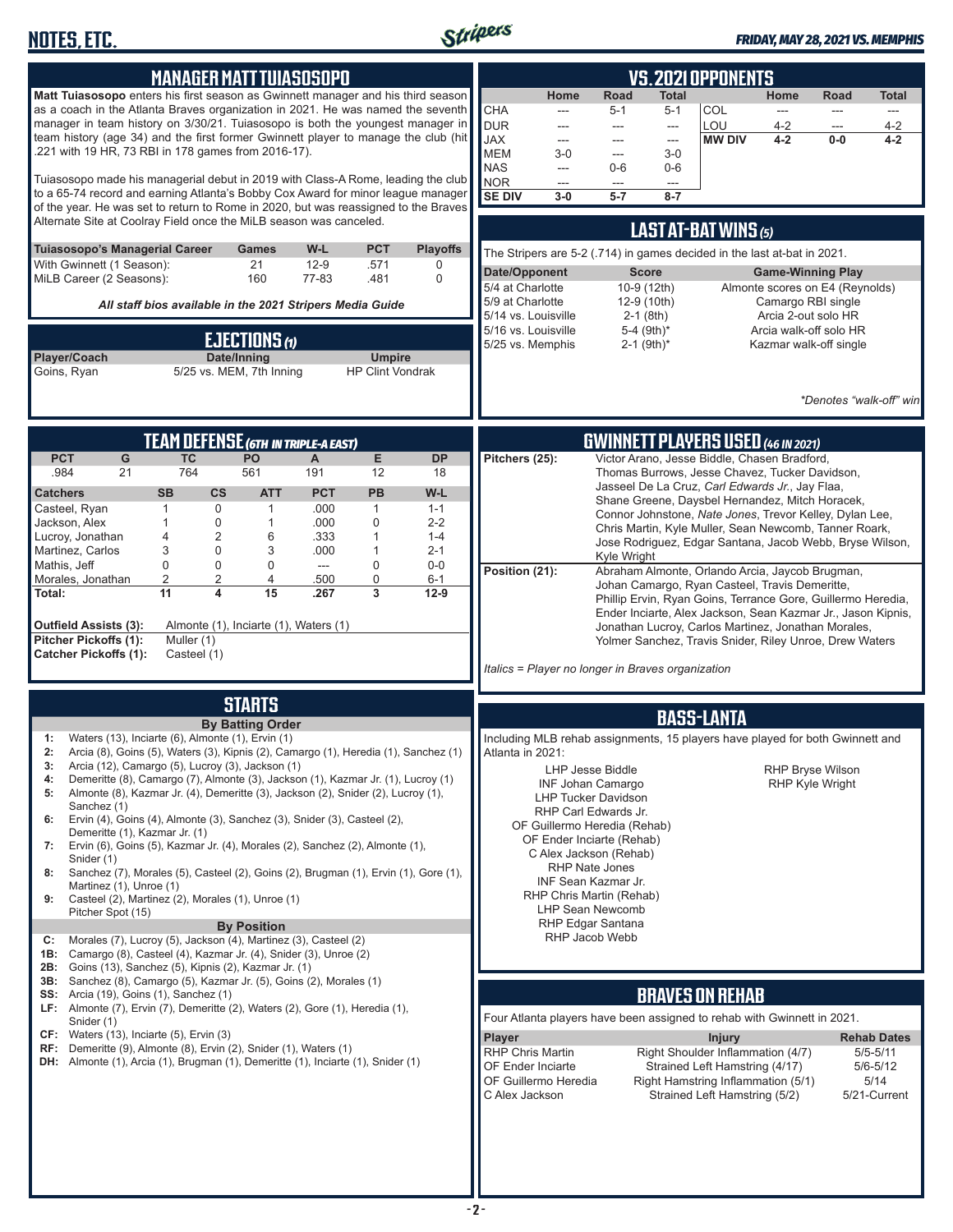

| <b>MANAGER MATT TUIASOSOPO</b>                                                                                                                                                                                                                                                                                                                                                                                                                                                                                                                                                                                                                                                                                                                                                                                                                                                                                                                                                                                                                                                                                                                                             | <b>VS. 2021 OPPONENTS</b>                                                                                                                                                                                                                                                                                                                                                                                                                                                                                                                                                                                                                                                                                                                                                                                                                            |
|----------------------------------------------------------------------------------------------------------------------------------------------------------------------------------------------------------------------------------------------------------------------------------------------------------------------------------------------------------------------------------------------------------------------------------------------------------------------------------------------------------------------------------------------------------------------------------------------------------------------------------------------------------------------------------------------------------------------------------------------------------------------------------------------------------------------------------------------------------------------------------------------------------------------------------------------------------------------------------------------------------------------------------------------------------------------------------------------------------------------------------------------------------------------------|------------------------------------------------------------------------------------------------------------------------------------------------------------------------------------------------------------------------------------------------------------------------------------------------------------------------------------------------------------------------------------------------------------------------------------------------------------------------------------------------------------------------------------------------------------------------------------------------------------------------------------------------------------------------------------------------------------------------------------------------------------------------------------------------------------------------------------------------------|
| <b>Matt Tuiasosopo</b> enters his first season as Gwinnett manager and his third season<br>as a coach in the Atlanta Braves organization in 2021. He was named the seventh<br>manager in team history on 3/30/21. Tuiasosopo is both the youngest manager in<br>team history (age 34) and the first former Gwinnett player to manage the club (hit<br>.221 with 19 HR, 73 RBI in 178 games from 2016-17).<br>Tuiasosopo made his managerial debut in 2019 with Class-A Rome, leading the club                                                                                                                                                                                                                                                                                                                                                                                                                                                                                                                                                                                                                                                                              | <b>Road</b><br>Home<br>Total<br>Home<br><b>Road</b><br>Total<br><b>CHA</b><br>COL<br>$5 - 1$<br>$5 - 1$<br>---<br>$\overline{\phantom{a}}$<br>---<br>---<br><b>DUR</b><br>LOU<br>$4 - 2$<br>$4 - 2$<br>$\overline{a}$<br>$\overline{a}$<br>$\cdots$<br>$---$<br><b>JAX</b><br><b>MW DIV</b><br>$4 - 2$<br>$0-0$<br>$4 - 2$<br>---<br>---<br>$\qquad \qquad -\qquad$<br><b>MEM</b><br>$3-0$<br>$3-0$<br>$\overline{a}$<br><b>NAS</b><br>$0-6$<br>$0-6$<br>---<br><b>NOR</b><br>---<br>---<br>$\overline{a}$                                                                                                                                                                                                                                                                                                                                           |
| to a 65-74 record and earning Atlanta's Bobby Cox Award for minor league manager<br>of the year. He was set to return to Rome in 2020, but was reassigned to the Braves                                                                                                                                                                                                                                                                                                                                                                                                                                                                                                                                                                                                                                                                                                                                                                                                                                                                                                                                                                                                    | <b>SE DIV</b><br>$5 - 7$<br>$3-0$<br>$8 - 7$                                                                                                                                                                                                                                                                                                                                                                                                                                                                                                                                                                                                                                                                                                                                                                                                         |
| Alternate Site at Coolray Field once the MiLB season was canceled.<br><b>PCT</b><br>Tuiasosopo's Managerial Career<br>W-L<br><b>Playoffs</b><br><b>Games</b>                                                                                                                                                                                                                                                                                                                                                                                                                                                                                                                                                                                                                                                                                                                                                                                                                                                                                                                                                                                                               | LAST AT-BAT WINS (5)                                                                                                                                                                                                                                                                                                                                                                                                                                                                                                                                                                                                                                                                                                                                                                                                                                 |
| With Gwinnett (1 Season):<br>21<br>$12-9$<br>.571<br>0<br>MiLB Career (2 Seasons):<br>160<br>77-83<br>.481<br>0                                                                                                                                                                                                                                                                                                                                                                                                                                                                                                                                                                                                                                                                                                                                                                                                                                                                                                                                                                                                                                                            | The Stripers are 5-2 (.714) in games decided in the last at-bat in 2021.<br>Date/Opponent<br><b>Score</b><br><b>Game-Winning Play</b>                                                                                                                                                                                                                                                                                                                                                                                                                                                                                                                                                                                                                                                                                                                |
| All staff bios available in the 2021 Stripers Media Guide                                                                                                                                                                                                                                                                                                                                                                                                                                                                                                                                                                                                                                                                                                                                                                                                                                                                                                                                                                                                                                                                                                                  | 5/4 at Charlotte<br>10-9 (12th)<br>Almonte scores on E4 (Reynolds)<br>5/9 at Charlotte<br>12-9 (10th)<br>Camargo RBI single                                                                                                                                                                                                                                                                                                                                                                                                                                                                                                                                                                                                                                                                                                                          |
| <b>EJECTIONS (1)</b><br>Date/Inning<br>Player/Coach<br><b>Umpire</b><br>5/25 vs. MEM, 7th Inning<br>Goins, Ryan<br><b>HP Clint Vondrak</b>                                                                                                                                                                                                                                                                                                                                                                                                                                                                                                                                                                                                                                                                                                                                                                                                                                                                                                                                                                                                                                 | 5/14 vs. Louisville<br>$2-1$ (8th)<br>Arcia 2-out solo HR<br>5-4 $(9th)*$<br>5/16 vs. Louisville<br>Arcia walk-off solo HR<br>$2-1$ (9th) <sup>*</sup><br>5/25 vs. Memphis<br>Kazmar walk-off single<br>*Denotes "walk-off" win                                                                                                                                                                                                                                                                                                                                                                                                                                                                                                                                                                                                                      |
| <b>TEAM DEFENSE (GTH IN TRIPLE-A EAST)</b>                                                                                                                                                                                                                                                                                                                                                                                                                                                                                                                                                                                                                                                                                                                                                                                                                                                                                                                                                                                                                                                                                                                                 | <b>GWINNETT PLAYERS USED (46 IN 2021)</b>                                                                                                                                                                                                                                                                                                                                                                                                                                                                                                                                                                                                                                                                                                                                                                                                            |
| E<br><b>PCT</b><br>G<br><b>TC</b><br>PO<br><b>DP</b><br>A<br>764<br>.984<br>21<br>561<br>191<br>12<br>18<br><b>SB</b><br><b>PCT</b><br>PB<br>W-L<br><b>Catchers</b><br>$\mathsf{cs}$<br><b>ATT</b><br>0<br>$\mathbf{1}$<br>Casteel, Ryan<br>$\mathbf{1}$<br>.000<br>1<br>$1 - 1$<br>.000<br>Jackson, Alex<br>$\mathbf{1}$<br>0<br>0<br>$2 - 2$<br>1<br>$\overline{2}$<br>Lucroy, Jonathan<br>4<br>6<br>.333<br>$\mathbf{1}$<br>$1 - 4$<br>3<br>0<br>Martinez, Carlos<br>3<br>.000<br>$\mathbf{1}$<br>$2 - 1$<br>Mathis, Jeff<br>0<br>0<br>0<br>0<br>$0-0$<br>---<br>$\overline{2}$<br>$\overline{2}$<br>0<br>Morales, Jonathan<br>4<br>500<br>$6 - 1$<br>$\overline{3}$<br>4<br>15<br>11<br>.267<br>$12-9$<br>Total:<br><b>Outfield Assists (3):</b><br>Almonte (1), Inciarte (1), Waters (1)<br>Pitcher Pickoffs (1):<br>Muller (1)<br><b>Catcher Pickoffs (1):</b><br>Casteel (1)                                                                                                                                                                                                                                                                                        | Victor Arano, Jesse Biddle, Chasen Bradford,<br>Pitchers (25):<br>Thomas Burrows, Jesse Chavez, Tucker Davidson,<br>Jasseel De La Cruz, Carl Edwards Jr., Jay Flaa,<br>Shane Greene, Daysbel Hernandez, Mitch Horacek,<br>Connor Johnstone, Nate Jones, Trevor Kelley, Dylan Lee,<br>Chris Martin, Kyle Muller, Sean Newcomb, Tanner Roark,<br>Jose Rodriguez, Edgar Santana, Jacob Webb, Bryse Wilson,<br>Kyle Wright<br>Position (21):<br>Abraham Almonte, Orlando Arcia, Jaycob Brugman,<br>Johan Camargo, Ryan Casteel, Travis Demeritte,<br>Phillip Ervin, Ryan Goins, Terrance Gore, Guillermo Heredia,<br>Ender Inciarte, Alex Jackson, Sean Kazmar Jr., Jason Kipnis,<br>Jonathan Lucroy, Carlos Martinez, Jonathan Morales,<br>Yolmer Sanchez, Travis Snider, Riley Unroe, Drew Waters<br>Italics = Player no longer in Braves organization |
| <b>STARTS</b><br><b>By Batting Order</b>                                                                                                                                                                                                                                                                                                                                                                                                                                                                                                                                                                                                                                                                                                                                                                                                                                                                                                                                                                                                                                                                                                                                   | <b>BASS-LANTA</b>                                                                                                                                                                                                                                                                                                                                                                                                                                                                                                                                                                                                                                                                                                                                                                                                                                    |
| Waters (13), Inciarte (6), Almonte (1), Ervin (1)<br>1:<br>Arcia (8), Goins (5), Waters (3), Kipnis (2), Camargo (1), Heredia (1), Sanchez (1)<br>2:<br>Arcia (12), Camargo (5), Lucroy (3), Jackson (1)<br>3:<br>Demeritte (8), Camargo (7), Almonte (3), Jackson (1), Kazmar Jr. (1), Lucroy (1)<br>4:<br>Almonte (8), Kazmar Jr. (4), Demeritte (3), Jackson (2), Snider (2), Lucroy (1),<br>5:<br>Sanchez (1)<br>Ervin (4), Goins (4), Almonte (3), Sanchez (3), Snider (3), Casteel (2),<br>6:<br>Demeritte (1), Kazmar Jr. (1)<br>Ervin (6), Goins (5), Kazmar Jr. (4), Morales (2), Sanchez (2), Almonte (1),<br>7:<br>Snider (1)<br>Sanchez (7), Morales (5), Casteel (2), Goins (2), Brugman (1), Ervin (1), Gore (1),<br>8:<br>Martinez (1), Unroe (1)<br>Casteel (2), Martinez (2), Morales (1), Unroe (1)<br>9:<br>Pitcher Spot (15)<br><b>By Position</b><br>Morales (7), Lucroy (5), Jackson (4), Martinez (3), Casteel (2)<br>C:<br>Camargo (8), Casteel (4), Kazmar Jr. (4), Snider (3), Unroe (2)<br>1B:<br><b>2B:</b> Goins (13), Sanchez (5), Kipnis (2), Kazmar Jr. (1)<br><b>3B:</b> Sanchez (8), Camargo (5), Kazmar Jr. (5), Goins (2), Morales (1) | Including MLB rehab assignments, 15 players have played for both Gwinnett and<br>Atlanta in 2021:<br><b>RHP Bryse Wilson</b><br>LHP Jesse Biddle<br><b>INF Johan Camargo</b><br><b>RHP Kyle Wright</b><br><b>LHP Tucker Davidson</b><br>RHP Carl Edwards Jr.<br>OF Guillermo Heredia (Rehab)<br>OF Ender Inciarte (Rehab)<br>C Alex Jackson (Rehab)<br><b>RHP Nate Jones</b><br>INF Sean Kazmar Jr.<br>RHP Chris Martin (Rehab)<br><b>LHP Sean Newcomb</b><br>RHP Edgar Santana<br>RHP Jacob Webb                                                                                                                                                                                                                                                                                                                                                    |
| <b>SS:</b> Arcia (19), Goins (1), Sanchez (1)<br><b>LF:</b> Almonte $(7)$ , Ervin $(7)$ , Demeritte $(2)$ , Waters $(2)$ , Gore $(1)$ , Heredia $(1)$ ,                                                                                                                                                                                                                                                                                                                                                                                                                                                                                                                                                                                                                                                                                                                                                                                                                                                                                                                                                                                                                    | <b>BRAVES ON REHAB</b>                                                                                                                                                                                                                                                                                                                                                                                                                                                                                                                                                                                                                                                                                                                                                                                                                               |
| Snider (1)<br>$CF:$ Waters (13), Inciarte (5), Ervin (3)<br>RF: Demeritte (9), Almonte (8), Ervin (2), Snider (1), Waters (1)<br><b>DH:</b> Almonte (1), Arcia (1), Brugman (1), Demeritte (1), Inciarte (1), Snider (1)                                                                                                                                                                                                                                                                                                                                                                                                                                                                                                                                                                                                                                                                                                                                                                                                                                                                                                                                                   | Four Atlanta players have been assigned to rehab with Gwinnett in 2021.<br><b>Player</b><br><b>Injury</b><br><b>Rehab Dates</b><br><b>RHP Chris Martin</b><br>Right Shoulder Inflammation (4/7)<br>$5/5 - 5/11$<br>OF Ender Inciarte<br>Strained Left Hamstring (4/17)<br>$5/6 - 5/12$<br>OF Guillermo Heredia<br>Right Hamstring Inflammation (5/1)<br>5/14<br>C Alex Jackson<br>Strained Left Hamstring (5/2)<br>5/21-Current                                                                                                                                                                                                                                                                                                                                                                                                                      |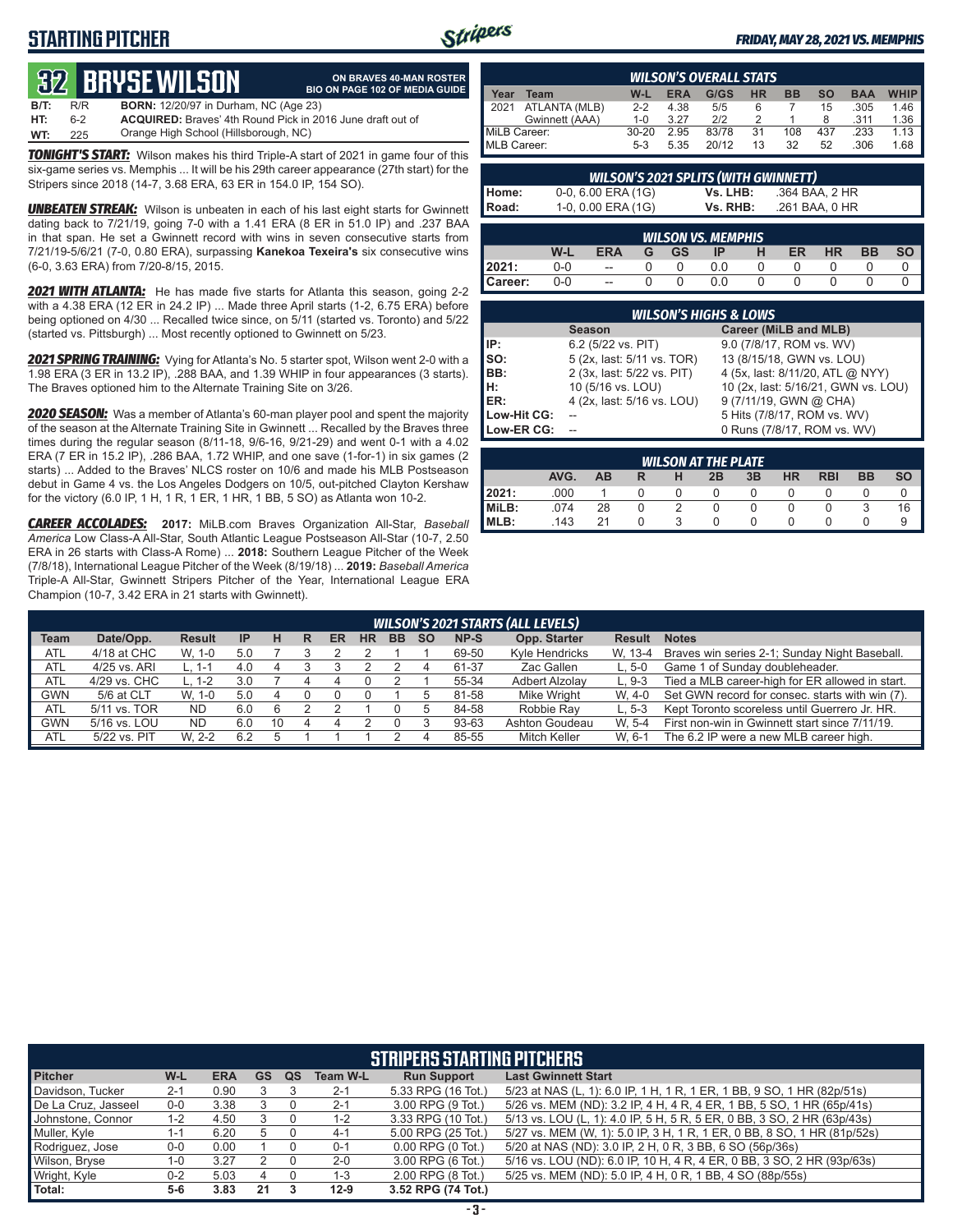## **STARTING PITCHER**



#### *FRIDAY, MAY 28, 2021 VS. MEMPHIS*

# **32****BRYSE WILSON**

|      |     | <b>32 BRYSE WILSON</b>                                            | ON BRAVES 40-MAN ROSTER<br><b>BIO ON PAGE 102 OF MEDIA GUIDE</b> |
|------|-----|-------------------------------------------------------------------|------------------------------------------------------------------|
| B/T: | R/R | <b>BORN:</b> 12/20/97 in Durham, NC (Age 23)                      |                                                                  |
| HT:  | հ-2 | <b>ACQUIRED:</b> Braves' 4th Round Pick in 2016 June draft out of |                                                                  |
| WT:  | 225 | Orange High School (Hillsborough, NC)                             |                                                                  |

*TONIGHT'S START:* Wilson makes his third Triple-A start of 2021 in game four of this six-game series vs. Memphis ... It will be his 29th career appearance (27th start) for the Stripers since 2018 (14-7, 3.68 ERA, 63 ER in 154.0 IP, 154 SO).

**UNBEATEN STREAK:** Wilson is unbeaten in each of his last eight starts for Gwinnett dating back to 7/21/19, going 7-0 with a 1.41 ERA (8 ER in 51.0 IP) and .237 BAA in that span. He set a Gwinnett record with wins in seven consecutive starts from 7/21/19-5/6/21 (7-0, 0.80 ERA), surpassing **Kanekoa Texeira's** six consecutive wins (6-0, 3.63 ERA) from 7/20-8/15, 2015.

*2021 WITH ATLANTA:* He has made five starts for Atlanta this season, going 2-2 with a 4.38 ERA (12 ER in 24.2 IP) ... Made three April starts (1-2, 6.75 ERA) before being optioned on 4/30 ... Recalled twice since, on 5/11 (started vs. Toronto) and 5/22 (started vs. Pittsburgh) ... Most recently optioned to Gwinnett on 5/23.

*2021 SPRING TRAINING:* Vying for Atlanta's No. 5 starter spot, Wilson went 2-0 with a 1.98 ERA (3 ER in 13.2 IP), .288 BAA, and 1.39 WHIP in four appearances (3 starts). The Braves optioned him to the Alternate Training Site on 3/26.

*2020 SEASON:* Was a member of Atlanta's 60-man player pool and spent the majority of the season at the Alternate Training Site in Gwinnett ... Recalled by the Braves three times during the regular season (8/11-18, 9/6-16, 9/21-29) and went 0-1 with a 4.02 ERA (7 ER in 15.2 IP), .286 BAA, 1.72 WHIP, and one save (1-for-1) in six games (2 starts) ... Added to the Braves' NLCS roster on 10/6 and made his MLB Postseason debut in Game 4 vs. the Los Angeles Dodgers on 10/5, out-pitched Clayton Kershaw for the victory (6.0 IP, 1 H, 1 R, 1 ER, 1 HR, 1 BB, 5 SO) as Atlanta won 10-2.

*CAREER ACCOLADES:* **2017:** MiLB.com Braves Organization All-Star, *Baseball America* Low Class-A All-Star, South Atlantic League Postseason All-Star (10-7, 2.50 ERA in 26 starts with Class-A Rome) ... **2018:** Southern League Pitcher of the Week (7/8/18), International League Pitcher of the Week (8/19/18) ... **2019:** *Baseball America*  Triple-A All-Star, Gwinnett Stripers Pitcher of the Year, International League ERA Champion (10-7, 3.42 ERA in 21 starts with Gwinnett).

|              | <b>WILSON'S OVERALL STATS</b> |         |            |       |           |           |           |            |             |
|--------------|-------------------------------|---------|------------|-------|-----------|-----------|-----------|------------|-------------|
| Year         | Team                          | W-L     | <b>ERA</b> | G/GS  | <b>HR</b> | <b>BB</b> | <b>SO</b> | <b>BAA</b> | <b>WHIP</b> |
|              | 2021 ATLANTA (MLB)            | $2 - 2$ | 4.38       | 5/5   |           |           | 15        | .305       | 1.46        |
|              | Gwinnett (AAA)                | $1 - 0$ | 3.27       | 212   |           |           | 8         | .311       | 1.36        |
| MiLB Career: |                               | $30-20$ | 2.95       | 83/78 | 31        | 108       | 437       | .233       | 1.13        |
| MLB Career:  |                               | $5-3$   | 5.35       | 20/12 | 13        | 32        | 52        | .306       | 1.68        |

|                | <b>WILSON'S 2021 SPLITS (WITH GWINNETT)</b> |          |                |  |  |  |  |  |
|----------------|---------------------------------------------|----------|----------------|--|--|--|--|--|
|                | $0-0$ , 6.00 ERA (1G)                       | Vs. LHB: | .364 BAA. 2 HR |  |  |  |  |  |
| Home:<br>Road: | 1-0, 0.00 ERA (1G)                          | Vs. RHB: | .261 BAA, 0 HR |  |  |  |  |  |
|                |                                             |          |                |  |  |  |  |  |

| <b>WILSON VS. MEMPHIS</b> |     |                          |   |           |     |  |    |           |    |           |
|---------------------------|-----|--------------------------|---|-----------|-----|--|----|-----------|----|-----------|
|                           | W-L | ERA                      | G | <b>GS</b> | ΙP  |  | ER | <b>HR</b> | ВB | <b>SO</b> |
| 2021:                     | 0-0 | $\overline{\phantom{a}}$ |   |           | 0.0 |  |    |           |    |           |
| ∥Career:                  | 0-0 | $\overline{a}$           |   |           | 0.0 |  |    |           |    |           |

|             | <b>WILSON'S HIGHS &amp; LOWS</b> |                                     |  |  |  |  |  |  |  |
|-------------|----------------------------------|-------------------------------------|--|--|--|--|--|--|--|
|             | <b>Season</b>                    | Career (MiLB and MLB)               |  |  |  |  |  |  |  |
| IP:         | 6.2 (5/22 vs. PIT)               | 9.0 (7/8/17, ROM vs. WV)            |  |  |  |  |  |  |  |
| Iso:        | 5 (2x, last: 5/11 vs. TOR)       | 13 (8/15/18, GWN vs. LOU)           |  |  |  |  |  |  |  |
| BB:         | 2 (3x, last: 5/22 vs. PIT)       | 4 (5x, last: 8/11/20, ATL @ NYY)    |  |  |  |  |  |  |  |
| Iн:         | 10 (5/16 vs. LOU)                | 10 (2x, last: 5/16/21, GWN vs. LOU) |  |  |  |  |  |  |  |
| <b>IER:</b> | 4 (2x, last: 5/16 vs. LOU)       | 9 (7/11/19, GWN @ CHA)              |  |  |  |  |  |  |  |
| Low-Hit CG: |                                  | 5 Hits (7/8/17, ROM vs. WV)         |  |  |  |  |  |  |  |
| Low-ER CG:  |                                  | 0 Runs (7/8/17, ROM vs. WV)         |  |  |  |  |  |  |  |

|        | <b>WILSON AT THE PLATE</b> |    |   |   |    |    |           |            |    |           |  |
|--------|----------------------------|----|---|---|----|----|-----------|------------|----|-----------|--|
|        | AVG.                       | AB | R | н | 2B | 3B | <b>HR</b> | <b>RBI</b> | BB | <b>SO</b> |  |
| 12021: | .000                       |    |   |   |    |    |           |            |    |           |  |
| MiLB:  | .074                       | 28 |   |   |    |    |           |            |    | 16        |  |
| IMLB:  | 143                        | 21 |   |   |    |    |           |            |    |           |  |

|             | <b>WILSON'S 2021 STARTS (ALL LEVELS)</b> |               |     |    |   |    |    |           |           |       |                     |               |                                                 |
|-------------|------------------------------------------|---------------|-----|----|---|----|----|-----------|-----------|-------|---------------------|---------------|-------------------------------------------------|
| <b>Team</b> | Date/Opp.                                | <b>Result</b> | IP  | н  | R | ER | ΗR | <b>BB</b> | <b>SO</b> | NP-S  | Opp. Starter        | <b>Result</b> | <b>Notes</b>                                    |
| ATL         | 4/18 at CHC                              | W. 1-0        | 5.0 |    |   |    |    |           |           | 69-50 | Kyle Hendricks      | W. 13-4       | Braves win series 2-1; Sunday Night Baseball.   |
| <b>ATL</b>  | 4/25 vs. ARI                             | L. 1-1        | 4.0 |    |   |    |    |           |           | 61-37 | Zac Gallen          | $L.5-0$       | Game 1 of Sunday doubleheader.                  |
| <b>ATL</b>  | 4/29 vs. CHC                             | L. 1-2        | 3.0 |    |   | 4  |    |           |           | 55-34 | Adbert Alzolav      | $L.9-3$       | Tied a MLB career-high for ER allowed in start. |
| <b>GWN</b>  | 5/6 at CLT                               | W. 1-0        | 5.0 |    |   |    |    |           |           | 81-58 | Mike Wright         | W. 4-0        | Set GWN record for consec. starts with win (7). |
| <b>ATL</b>  | 5/11 vs. TOR                             | <b>ND</b>     | 6.0 |    |   |    |    |           |           | 84-58 | Robbie Rav          | $L.5-3$       | Kept Toronto scoreless until Guerrero Jr. HR.   |
| <b>GWN</b>  | 5/16 vs. LOU                             | <b>ND</b>     | 6.0 | 10 |   |    |    |           |           | 93-63 | Ashton Goudeau      | W. 5-4        | First non-win in Gwinnett start since 7/11/19.  |
| ATL         | 5/22 vs. PIT                             | W. 2-2        | 6.2 |    |   |    |    |           |           | 85-55 | <b>Mitch Keller</b> | W. 6-1        | The 6.2 IP were a new MLB career high.          |

|                     | <b>STRIPERS STARTING PITCHERS</b> |            |           |           |                 |                       |                                                                         |  |  |  |
|---------------------|-----------------------------------|------------|-----------|-----------|-----------------|-----------------------|-------------------------------------------------------------------------|--|--|--|
| <b>Pitcher</b>      | W-L                               | <b>ERA</b> | <b>GS</b> | <b>QS</b> | <b>Team W-L</b> | <b>Run Support</b>    | <b>Last Gwinnett Start</b>                                              |  |  |  |
| Davidson, Tucker    | $2 - 1$                           | 0.90       |           |           | $2 - 1$         | 5.33 RPG (16 Tot.)    | 5/23 at NAS (L, 1): 6.0 IP, 1 H, 1 R, 1 ER, 1 BB, 9 SO, 1 HR (82p/51s)  |  |  |  |
| De La Cruz, Jasseel | $0 - 0$                           | 3.38       |           |           | $2 - 1$         | 3.00 RPG (9 Tot.)     | 5/26 vs. MEM (ND): 3.2 IP, 4 H, 4 R, 4 ER, 1 BB, 5 SO, 1 HR (65p/41s)   |  |  |  |
| Johnstone, Connor   | 1-2                               | 4.50       |           |           | 1-2             | 3.33 RPG (10 Tot.)    | 5/13 vs. LOU (L, 1): 4.0 IP, 5 H, 5 R, 5 ER, 0 BB, 3 SO, 2 HR (63p/43s) |  |  |  |
| Muller, Kyle        | 1-1                               | 6.20       | 5         |           | $4 - 1$         | 5.00 RPG (25 Tot.)    | 5/27 vs. MEM (W, 1): 5.0 IP, 3 H, 1 R, 1 ER, 0 BB, 8 SO, 1 HR (81p/52s) |  |  |  |
| Rodriguez, Jose     | $0-0$                             | 0.00       |           |           | $0 - 1$         | $0.00$ RPG $(0$ Tot.) | 5/20 at NAS (ND): 3.0 IP, 2 H, 0 R, 3 BB, 6 SO (56p/36s)                |  |  |  |
| Wilson, Bryse       | $1 - 0$                           | 3.27       |           |           | $2 - 0$         | 3.00 RPG (6 Tot.)     | 5/16 vs. LOU (ND): 6.0 IP, 10 H, 4 R, 4 ER, 0 BB, 3 SO, 2 HR (93p/63s)  |  |  |  |
| Wright, Kyle        | $0 - 2$                           | 5.03       |           |           | $1 - 3$         | 2.00 RPG (8 Tot.)     | 5/25 vs. MEM (ND): 5.0 IP, 4 H, 0 R, 1 BB, 4 SO (88p/55s)               |  |  |  |
| Total:              | $5-6$                             | 3.83       | 21        |           | $12-9$          | 3.52 RPG (74 Tot.)    |                                                                         |  |  |  |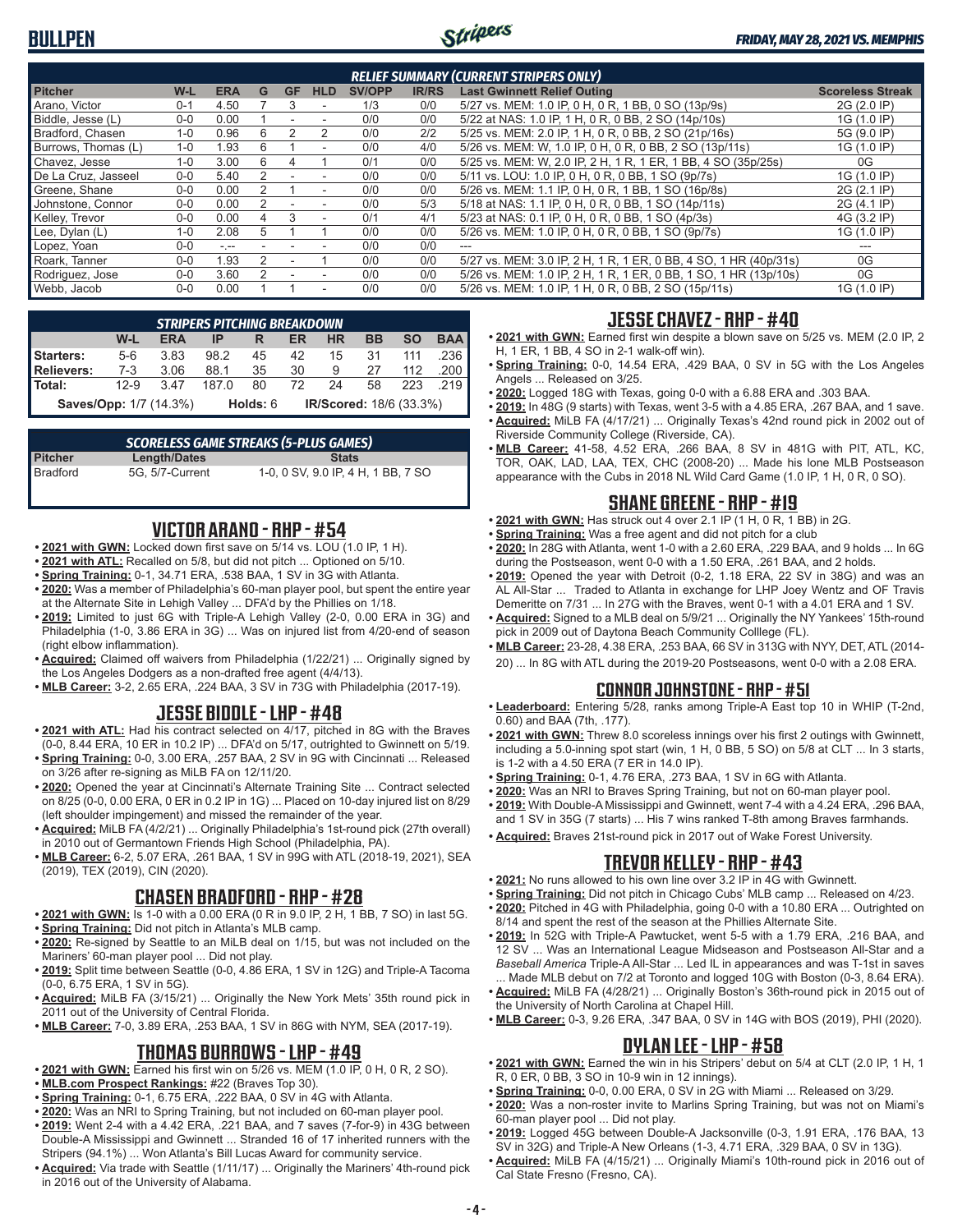

| <b>RELIEF SUMMARY (CURRENT STRIPERS ONLY)</b> |         |            |    |           |            |               |              |                                                                  |                         |
|-----------------------------------------------|---------|------------|----|-----------|------------|---------------|--------------|------------------------------------------------------------------|-------------------------|
| <b>Pitcher</b>                                | W-L     | <b>ERA</b> | G  | <b>GF</b> | <b>HLD</b> | <b>SV/OPP</b> | <b>IR/RS</b> | <b>Last Gwinnett Relief Outing</b>                               | <b>Scoreless Streak</b> |
| Arano, Victor                                 | $0 - 1$ | 4.50       |    | 3         |            | 1/3           | 0/0          | 5/27 vs. MEM: 1.0 IP, 0 H, 0 R, 1 BB, 0 SO (13p/9s)              | 2G (2.0 IP)             |
| Biddle, Jesse (L)                             | $0 - 0$ | 0.00       |    |           |            | 0/0           | 0/0          | 5/22 at NAS: 1.0 IP, 1 H, 0 R, 0 BB, 2 SO (14p/10s)              | 1G (1.0 IP)             |
| Bradford, Chasen                              | $1 - 0$ | 0.96       |    |           |            | 0/0           | 2/2          | 5/25 vs. MEM: 2.0 IP, 1 H, 0 R, 0 BB, 2 SO (21p/16s)             | 5G (9.0 IP)             |
| Burrows, Thomas (L)                           | $1 - 0$ | 1.93       | 6  |           | ۰          | 0/0           | 4/0          | 5/26 vs. MEM: W, 1.0 IP, 0 H, 0 R, 0 BB, 2 SO (13p/11s)          | 1G (1.0 IP)             |
| Chavez, Jesse                                 | $1 - 0$ | 3.00       | 6  | 4         |            | 0/1           | 0/0          | 5/25 vs. MEM: W, 2.0 IP, 2 H, 1 R, 1 ER, 1 BB, 4 SO (35p/25s)    | 0G                      |
| De La Cruz. Jasseel                           | $0 - 0$ | 5.40       | 2  |           |            | 0/0           | 0/0          | 5/11 vs. LOU: 1.0 IP, 0 H, 0 R, 0 BB, 1 SO (9p/7s)               | 1G (1.0 IP)             |
| Greene, Shane                                 | $0 - 0$ | 0.00       |    |           | $\sim$     | 0/0           | 0/0          | 5/26 vs. MEM: 1.1 IP, 0 H, 0 R, 1 BB, 1 SO (16p/8s)              | 2G (2.1 IP)             |
| Johnstone, Connor                             | $0 - 0$ | 0.00       |    |           |            | 0/0           | 5/3          | 5/18 at NAS: 1.1 IP, 0 H, 0 R, 0 BB, 1 SO (14p/11s)              | 2G (4.1 IP)             |
| Kelley, Trevor                                | $0 - 0$ | 0.00       | 4  | 3         | ۰          | 0/1           | 4/1          | 5/23 at NAS: 0.1 IP, 0 H, 0 R, 0 BB, 1 SO (4p/3s)                | 4G (3.2 IP)             |
| Lee, Dylan (L)                                | $1 - 0$ | 2.08       | 5. |           |            | 0/0           | 0/0          | 5/26 vs. MEM: 1.0 IP, 0 H, 0 R, 0 BB, 1 SO (9p/7s)               | 1G (1.0 IP)             |
| Lopez, Yoan                                   | $0 - 0$ | $-1$       |    |           |            | 0/0           | 0/0          |                                                                  |                         |
| Roark. Tanner                                 | $0 - 0$ | .93        |    |           |            | 0/0           | 0/0          | 5/27 vs. MEM: 3.0 IP, 2 H, 1 R, 1 ER, 0 BB, 4 SO, 1 HR (40p/31s) | 0G                      |
| Rodriguez, Jose                               | $0 - 0$ | 3.60       |    |           | ۰          | 0/0           | 0/0          | 5/26 vs. MEM: 1.0 IP, 2 H, 1 R, 1 ER, 0 BB, 1 SO, 1 HR (13p/10s) | 0G                      |
| Webb, Jacob                                   | $0 - 0$ | 0.00       |    |           | ۰          | 0/0           | 0/0          | 5/26 vs. MEM: 1.0 IP, 1 H, 0 R, 0 BB, 2 SO (15p/11s)             | 1G (1.0 IP)             |

| <b>STRIPERS PITCHING BREAKDOWN</b> |        |            |       |                                            |    |             |           |           |                       |  |  |
|------------------------------------|--------|------------|-------|--------------------------------------------|----|-------------|-----------|-----------|-----------------------|--|--|
|                                    | W-L    | <b>ERA</b> | IP    | R                                          | ER | <b>HR</b>   | <b>BB</b> | <b>SO</b> | <b>BAA</b>            |  |  |
| <b>Starters:</b>                   | 5-6    | 3.83       | 98.2  | 45                                         | 42 | 15          | 31 111    |           | .236                  |  |  |
| Relievers:                         | $7-3$  | 3.06       | 88.1  | 35                                         |    | 30 9 27 112 |           |           | $.200$ $\blacksquare$ |  |  |
| <b>Total:</b>                      | $12-9$ | 347        | 187 O | 80                                         | 72 | 24          |           | 58 223    | .219                  |  |  |
| <b>Saves/Opp: 1/7 (14.3%)</b>      |        |            |       | IR/Scored: 18/6 (33.3%)<br><b>Holds:</b> 6 |    |             |           |           |                       |  |  |

|                 |                 | <b>SCORELESS GAME STREAKS (5-PLUS GAMES)</b> |
|-----------------|-----------------|----------------------------------------------|
| <b>Pitcher</b>  | Length/Dates    | <b>Stats</b>                                 |
| <b>Bradford</b> | 5G. 5/7-Current | 1-0, 0 SV, 9.0 IP, 4 H, 1 BB, 7 SO           |

### **VICTOR ARANO - RHP - #54**

- 2021 with GWN: Locked down first save on 5/14 vs. LOU (1.0 IP, 1 H).
- **• 2021 with ATL:** Recalled on 5/8, but did not pitch ... Optioned on 5/10.
- **• Spring Training:** 0-1, 34.71 ERA, .538 BAA, 1 SV in 3G with Atlanta.
- **• 2020:** Was a member of Philadelphia's 60-man player pool, but spent the entire year at the Alternate Site in Lehigh Valley ... DFA'd by the Phillies on 1/18.
- **• 2019:** Limited to just 6G with Triple-A Lehigh Valley (2-0, 0.00 ERA in 3G) and Philadelphia (1-0, 3.86 ERA in 3G) ... Was on injured list from 4/20-end of season (right elbow inflammation).
- **• Acquired:** Claimed off waivers from Philadelphia (1/22/21) ... Originally signed by the Los Angeles Dodgers as a non-drafted free agent (4/4/13).
- **• MLB Career:** 3-2, 2.65 ERA, .224 BAA, 3 SV in 73G with Philadelphia (2017-19).

#### **JESSE BIDDLE - LHP - #48**

- **• 2021 with ATL:** Had his contract selected on 4/17, pitched in 8G with the Braves (0-0, 8.44 ERA, 10 ER in 10.2 IP) ... DFA'd on 5/17, outrighted to Gwinnett on 5/19.
- **• Spring Training:** 0-0, 3.00 ERA, .257 BAA, 2 SV in 9G with Cincinnati ... Released on 3/26 after re-signing as MiLB FA on 12/11/20.
- **• 2020:** Opened the year at Cincinnati's Alternate Training Site ... Contract selected on 8/25 (0-0, 0.00 ERA, 0 ER in 0.2 IP in 1G) ... Placed on 10-day injured list on 8/29 (left shoulder impingement) and missed the remainder of the year.
- **• Acquired:** MiLB FA (4/2/21) ... Originally Philadelphia's 1st-round pick (27th overall) in 2010 out of Germantown Friends High School (Philadelphia, PA).
- **• MLB Career:** 6-2, 5.07 ERA, .261 BAA, 1 SV in 99G with ATL (2018-19, 2021), SEA (2019), TEX (2019), CIN (2020).

#### **CHASEN BRADFORD - RHP - #28**

- **• 2021 with GWN:** Is 1-0 with a 0.00 ERA (0 R in 9.0 IP, 2 H, 1 BB, 7 SO) in last 5G. **• Spring Training:** Did not pitch in Atlanta's MLB camp.
- **• 2020:** Re-signed by Seattle to an MiLB deal on 1/15, but was not included on the Mariners' 60-man player pool ... Did not play.
- **• 2019:** Split time between Seattle (0-0, 4.86 ERA, 1 SV in 12G) and Triple-A Tacoma (0-0, 6.75 ERA, 1 SV in 5G).
- **• Acquired:** MiLB FA (3/15/21) ... Originally the New York Mets' 35th round pick in 2011 out of the University of Central Florida.
- **• MLB Career:** 7-0, 3.89 ERA, .253 BAA, 1 SV in 86G with NYM, SEA (2017-19).

#### **THOMAS BURROWS - LHP - #49**

- **• 2021 with GWN:** Earned his first win on 5/26 vs. MEM (1.0 IP, 0 H, 0 R, 2 SO).
- **• MLB.com Prospect Rankings:** #22 (Braves Top 30).
- **• Spring Training:** 0-1, 6.75 ERA, .222 BAA, 0 SV in 4G with Atlanta.
- **• 2020:** Was an NRI to Spring Training, but not included on 60-man player pool. **• 2019:** Went 2-4 with a 4.42 ERA, .221 BAA, and 7 saves (7-for-9) in 43G between Double-A Mississippi and Gwinnett ... Stranded 16 of 17 inherited runners with the Stripers (94.1%) ... Won Atlanta's Bill Lucas Award for community service.
- **• Acquired:** Via trade with Seattle (1/11/17) ... Originally the Mariners' 4th-round pick in 2016 out of the University of Alabama.

### **JESSE CHAVEZ - RHP - #40**

- **• 2021 with GWN:** Earned first win despite a blown save on 5/25 vs. MEM (2.0 IP, 2 H, 1 ER, 1 BB, 4 SO in 2-1 walk-off win).
- **• Spring Training:** 0-0, 14.54 ERA, .429 BAA, 0 SV in 5G with the Los Angeles Angels ... Released on 3/25.
- **• 2020:** Logged 18G with Texas, going 0-0 with a 6.88 ERA and .303 BAA.
- **• 2019:** In 48G (9 starts) with Texas, went 3-5 with a 4.85 ERA, .267 BAA, and 1 save. **• Acquired:** MiLB FA (4/17/21) ... Originally Texas's 42nd round pick in 2002 out of Riverside Community College (Riverside, CA).
- **• MLB Career:** 41-58, 4.52 ERA, .266 BAA, 8 SV in 481G with PIT, ATL, KC, TOR, OAK, LAD, LAA, TEX, CHC (2008-20) ... Made his lone MLB Postseason appearance with the Cubs in 2018 NL Wild Card Game (1.0 IP, 1 H, 0 R, 0 SO).

### **SHANE GREENE - RHP - #19**

- **• 2021 with GWN:** Has struck out 4 over 2.1 IP (1 H, 0 R, 1 BB) in 2G.
- **• Spring Training:** Was a free agent and did not pitch for a club
- **• 2020:** In 28G with Atlanta, went 1-0 with a 2.60 ERA, .229 BAA, and 9 holds ... In 6G during the Postseason, went 0-0 with a 1.50 ERA, .261 BAA, and 2 holds.
- **• 2019:** Opened the year with Detroit (0-2, 1.18 ERA, 22 SV in 38G) and was an AL All-Star ... Traded to Atlanta in exchange for LHP Joey Wentz and OF Travis Demeritte on 7/31 ... In 27G with the Braves, went 0-1 with a 4.01 ERA and 1 SV.
- **• Acquired:** Signed to a MLB deal on 5/9/21 ... Originally the NY Yankees' 15th-round pick in 2009 out of Daytona Beach Community Colllege (FL).
- **• MLB Career:** 23-28, 4.38 ERA, .253 BAA, 66 SV in 313G with NYY, DET, ATL (2014- 20) ... In 8G with ATL during the 2019-20 Postseasons, went 0-0 with a 2.08 ERA.

#### **CONNOR JOHNSTONE - RHP - #51**

- **• Leaderboard:** Entering 5/28, ranks among Triple-A East top 10 in WHIP (T-2nd, 0.60) and BAA (7th, .177).
- **• 2021 with GWN:** Threw 8.0 scoreless innings over his first 2 outings with Gwinnett, including a 5.0-inning spot start (win, 1 H, 0 BB, 5 SO) on 5/8 at CLT ... In 3 starts, is 1-2 with a 4.50 ERA (7 ER in 14.0 IP).
- **• Spring Training:** 0-1, 4.76 ERA, .273 BAA, 1 SV in 6G with Atlanta.
- **• 2020:** Was an NRI to Braves Spring Training, but not on 60-man player pool.
- **• 2019:** With Double-A Mississippi and Gwinnett, went 7-4 with a 4.24 ERA, .296 BAA, and 1 SV in 35G (7 starts) ... His 7 wins ranked T-8th among Braves farmhands.
- **• Acquired:** Braves 21st-round pick in 2017 out of Wake Forest University.

### **TREVOR KELLEY - RHP - #43**

- **• 2021:** No runs allowed to his own line over 3.2 IP in 4G with Gwinnett.
- **• Spring Training:** Did not pitch in Chicago Cubs' MLB camp ... Released on 4/23. **• 2020:** Pitched in 4G with Philadelphia, going 0-0 with a 10.80 ERA ... Outrighted on
- 8/14 and spent the rest of the season at the Phillies Alternate Site.
- **• 2019:** In 52G with Triple-A Pawtucket, went 5-5 with a 1.79 ERA, .216 BAA, and 12 SV ... Was an International League Midseason and Postseason All-Star and a *Baseball America* Triple-A All-Star ... Led IL in appearances and was T-1st in saves ... Made MLB debut on 7/2 at Toronto and logged 10G with Boston (0-3, 8.64 ERA).
- **• Acquired:** MiLB FA (4/28/21) ... Originally Boston's 36th-round pick in 2015 out of the University of North Carolina at Chapel Hill.
- **• MLB Career:** 0-3, 9.26 ERA, .347 BAA, 0 SV in 14G with BOS (2019), PHI (2020).

### **DYLAN LEE - LHP - #58**

- **• 2021 with GWN:** Earned the win in his Stripers' debut on 5/4 at CLT (2.0 IP, 1 H, 1 R, 0 ER, 0 BB, 3 SO in 10-9 win in 12 innings).
- **• Spring Training:** 0-0, 0.00 ERA, 0 SV in 2G with Miami ... Released on 3/29.
- **• 2020:** Was a non-roster invite to Marlins Spring Training, but was not on Miami's 60-man player pool ... Did not play.
- **• 2019:** Logged 45G between Double-A Jacksonville (0-3, 1.91 ERA, .176 BAA, 13 SV in 32G) and Triple-A New Orleans (1-3, 4.71 ERA, .329 BAA, 0 SV in 13G).
- **• Acquired:** MiLB FA (4/15/21) ... Originally Miami's 10th-round pick in 2016 out of Cal State Fresno (Fresno, CA).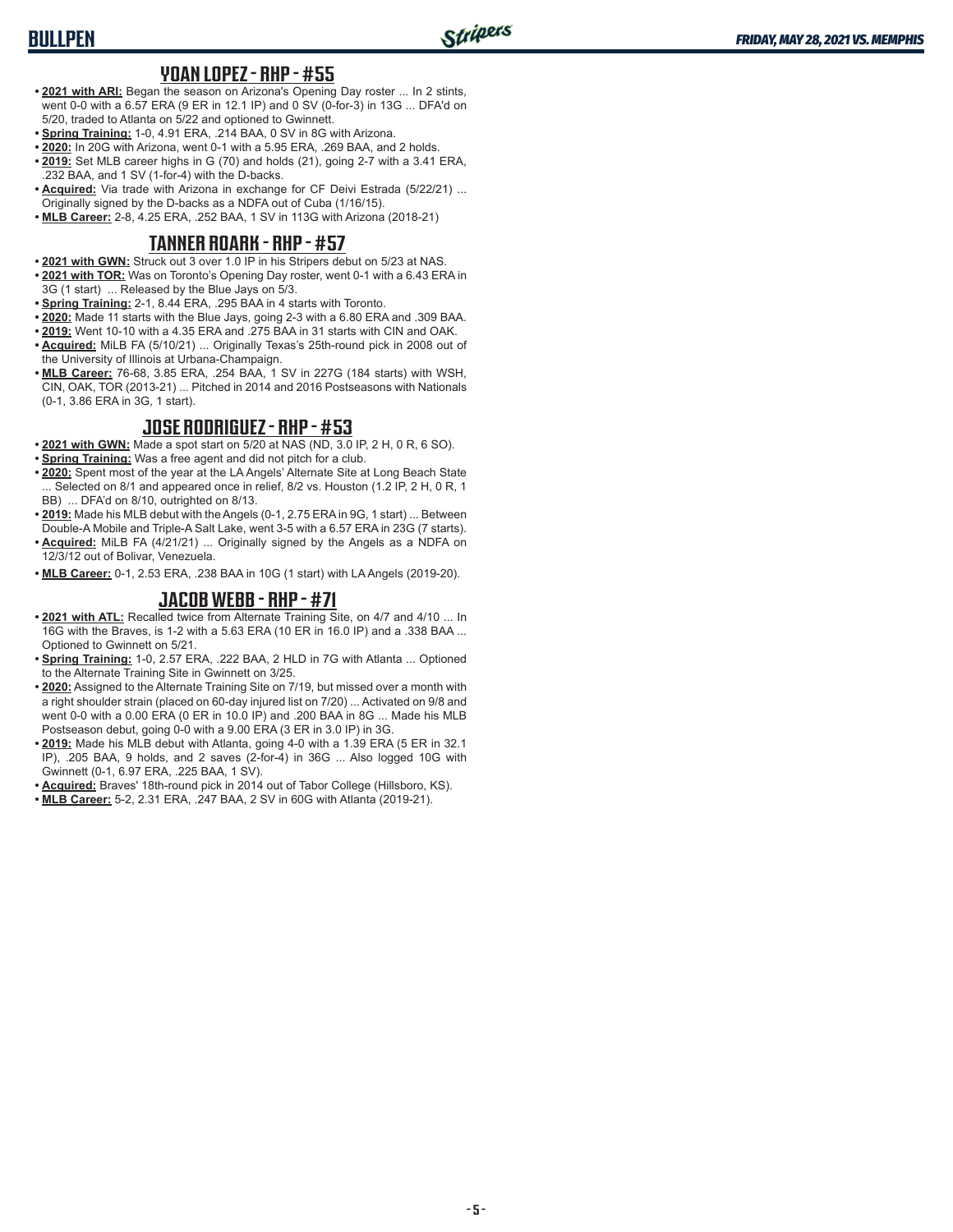## **BULLPEN**

#### **YOAN LOPEZ - RHP - #55**

- **• 2021 with ARI:** Began the season on Arizona's Opening Day roster ... In 2 stints, went 0-0 with a 6.57 ERA (9 ER in 12.1 IP) and 0 SV (0-for-3) in 13G ... DFA'd on 5/20, traded to Atlanta on 5/22 and optioned to Gwinnett.
- **• Spring Training:** 1-0, 4.91 ERA, .214 BAA, 0 SV in 8G with Arizona.
- **• 2020:** In 20G with Arizona, went 0-1 with a 5.95 ERA, .269 BAA, and 2 holds.
- **• 2019:** Set MLB career highs in G (70) and holds (21), going 2-7 with a 3.41 ERA, .232 BAA, and 1 SV (1-for-4) with the D-backs.
- **• Acquired:** Via trade with Arizona in exchange for CF Deivi Estrada (5/22/21) ... Originally signed by the D-backs as a NDFA out of Cuba (1/16/15).
- **• MLB Career:** 2-8, 4.25 ERA, .252 BAA, 1 SV in 113G with Arizona (2018-21)

### **TANNER ROARK - RHP - #57**

- **• 2021 with GWN:** Struck out 3 over 1.0 IP in his Stripers debut on 5/23 at NAS.
- **• 2021 with TOR:** Was on Toronto's Opening Day roster, went 0-1 with a 6.43 ERA in 3G (1 start) ... Released by the Blue Jays on 5/3.
- **• Spring Training:** 2-1, 8.44 ERA, .295 BAA in 4 starts with Toronto.
- **• 2020:** Made 11 starts with the Blue Jays, going 2-3 with a 6.80 ERA and .309 BAA.
- **• 2019:** Went 10-10 with a 4.35 ERA and .275 BAA in 31 starts with CIN and OAK.
- **• Acquired:** MiLB FA (5/10/21) ... Originally Texas's 25th-round pick in 2008 out of the University of Illinois at Urbana-Champaign.
- **• MLB Career:** 76-68, 3.85 ERA, .254 BAA, 1 SV in 227G (184 starts) with WSH, CIN, OAK, TOR (2013-21) ... Pitched in 2014 and 2016 Postseasons with Nationals (0-1, 3.86 ERA in 3G, 1 start).

### **JOSE RODRIGUEZ - RHP - #53**

- **• 2021 with GWN:** Made a spot start on 5/20 at NAS (ND, 3.0 IP, 2 H, 0 R, 6 SO).
- **• Spring Training:** Was a free agent and did not pitch for a club.
- **• 2020:** Spent most of the year at the LA Angels' Alternate Site at Long Beach State ... Selected on 8/1 and appeared once in relief, 8/2 vs. Houston (1.2 IP, 2 H, 0 R, 1 BB) ... DFA'd on 8/10, outrighted on 8/13.
- **• 2019:** Made his MLB debut with the Angels (0-1, 2.75 ERA in 9G, 1 start) ... Between Double-A Mobile and Triple-A Salt Lake, went 3-5 with a 6.57 ERA in 23G (7 starts).
- **• Acquired:** MiLB FA (4/21/21) ... Originally signed by the Angels as a NDFA on 12/3/12 out of Bolivar, Venezuela.
- **• MLB Career:** 0-1, 2.53 ERA, .238 BAA in 10G (1 start) with LA Angels (2019-20).

### **JACOB WEBB - RHP - #71**

- **• 2021 with ATL:** Recalled twice from Alternate Training Site, on 4/7 and 4/10 ... In 16G with the Braves, is 1-2 with a 5.63 ERA (10 ER in 16.0 IP) and a .338 BAA ... Optioned to Gwinnett on 5/21.
- **• Spring Training:** 1-0, 2.57 ERA, .222 BAA, 2 HLD in 7G with Atlanta ... Optioned to the Alternate Training Site in Gwinnett on 3/25.
- **• 2020:** Assigned to the Alternate Training Site on 7/19, but missed over a month with a right shoulder strain (placed on 60-day injured list on 7/20) ... Activated on 9/8 and went 0-0 with a 0.00 ERA (0 ER in 10.0 IP) and .200 BAA in 8G ... Made his MLB Postseason debut, going 0-0 with a 9.00 ERA (3 ER in 3.0 IP) in 3G.
- **• 2019:** Made his MLB debut with Atlanta, going 4-0 with a 1.39 ERA (5 ER in 32.1 IP), .205 BAA, 9 holds, and 2 saves (2-for-4) in 36G ... Also logged 10G with Gwinnett (0-1, 6.97 ERA, .225 BAA, 1 SV).
- **• Acquired:** Braves' 18th-round pick in 2014 out of Tabor College (Hillsboro, KS).
- **• MLB Career:** 5-2, 2.31 ERA, .247 BAA, 2 SV in 60G with Atlanta (2019-21).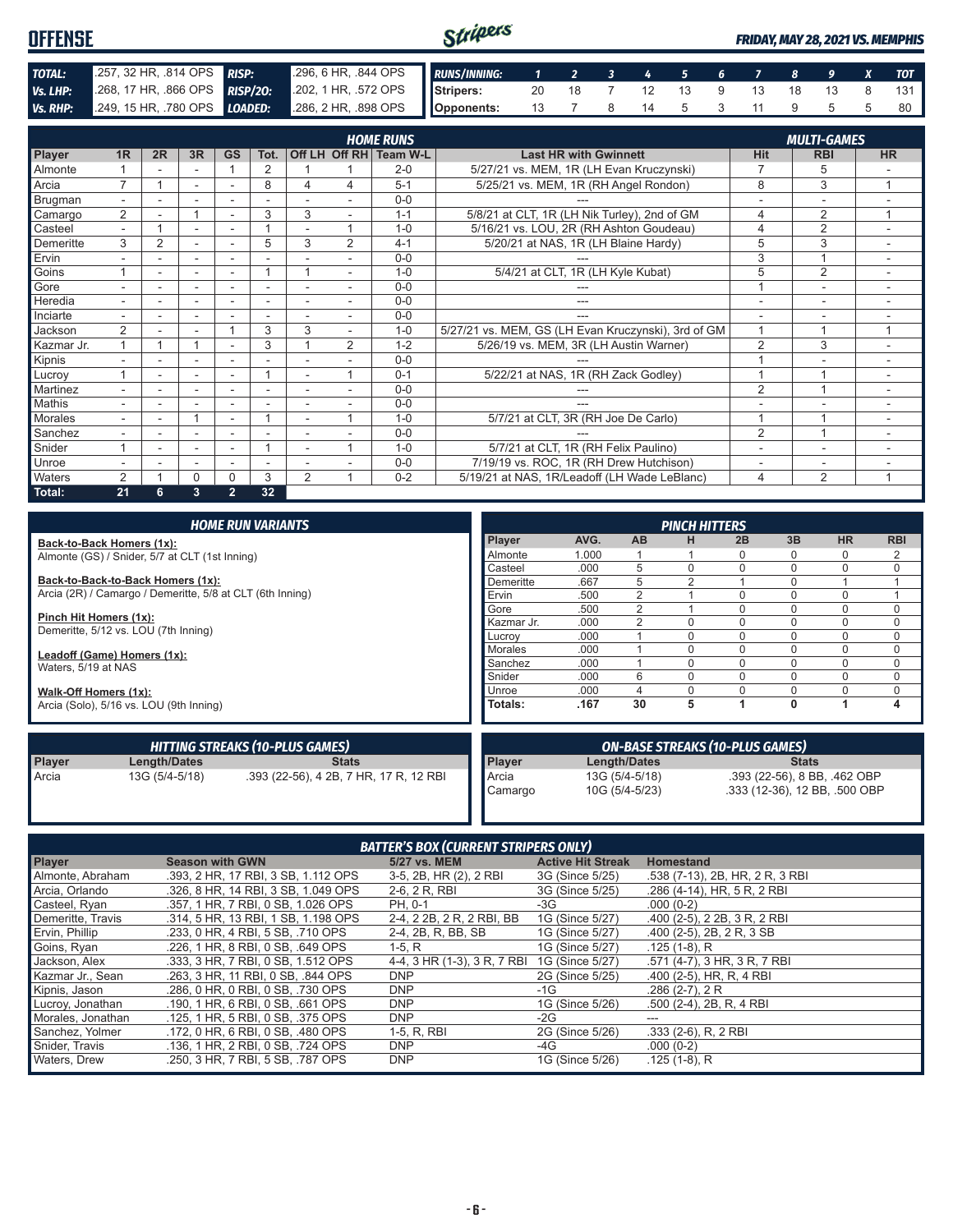| <b>OFFENSE</b>  |                                                                                          |                                                          | Stripers |  |  |  |                      |  | <b>FRIDAY, MAY 28, 2021 VS. MEMPHIS</b> |
|-----------------|------------------------------------------------------------------------------------------|----------------------------------------------------------|----------|--|--|--|----------------------|--|-----------------------------------------|
| TOTAL:          | 257, 32 HR, 814 OPS RISP:                                                                | 296, 6 HR, .844 OPS RUNS/INNING: 1 2 3 4 5 6 7 8 9 X TOT |          |  |  |  |                      |  |                                         |
| Vs. LHP:        | 208, 17 HR, 866 OPS RISP/20: 202, 1 HR, 572 OPS Sandbers: 20 18 7 12 13 9 13 18 13 8 131 |                                                          |          |  |  |  |                      |  |                                         |
| <b>Vs. RHP:</b> | 249, 15 HR, .780 OPS <b>LOADED:</b> 286, 2 HR, .898 OPS <b>Opponents:</b>                |                                                          |          |  |  |  | 13 7 8 14 5 3 11 9 5 |  |                                         |

| <b>HOME RUNS</b> |                |    |    |                |                          |                |                |                        | <b>MULTI-GAMES</b>                                  |                          |                          |           |
|------------------|----------------|----|----|----------------|--------------------------|----------------|----------------|------------------------|-----------------------------------------------------|--------------------------|--------------------------|-----------|
| Player           | 1 <sub>R</sub> | 2R | 3R | <b>GS</b>      | Tot.                     |                |                | Off LH Off RH Team W-L | <b>Last HR with Gwinnett</b>                        | Hit                      | <b>RBI</b>               | <b>HR</b> |
| Almonte          |                |    |    |                | $\overline{2}$           |                |                | $2 - 0$                | 5/27/21 vs. MEM, 1R (LH Evan Kruczynski)            | $\overline{7}$           | 5                        |           |
| Arcia            | $\overline{7}$ |    | ٠  | ٠              | 8                        | 4              | 4              | $5 - 1$                | 5/25/21 vs. MEM, 1R (RH Angel Rondon)               | 8                        | 3                        | 1         |
| Brugman          | $\sim$         |    | ۰  | ۰              | ٠                        |                |                | $0 - 0$                |                                                     |                          | ٠                        |           |
| Camargo          | $\overline{2}$ |    |    | ۰              | 3                        | 3              |                | $1 - 1$                | 5/8/21 at CLT, 1R (LH Nik Turley), 2nd of GM        | $\overline{4}$           | $\overline{2}$           | 1         |
| Casteel          |                |    |    |                |                          |                | 4              | $1 - 0$                | 5/16/21 vs. LOU, 2R (RH Ashton Goudeau)             | $\overline{4}$           | $\overline{2}$           |           |
| Demeritte        | 3              | 2  |    |                | 5                        | 3              | $\overline{2}$ | $4 - 1$                | 5/20/21 at NAS, 1R (LH Blaine Hardy)                | 5                        | 3                        |           |
| Ervin            |                |    | ٠  |                |                          |                |                | $0 - 0$                |                                                     | 3                        | $\overline{A}$           |           |
| Goins            |                |    | ۰  | ٠              |                          |                |                | $1 - 0$                | 5/4/21 at CLT, 1R (LH Kyle Kubat)                   | 5                        | $\overline{2}$           |           |
| Gore             |                |    | ۰  |                | -                        |                |                | $0 - 0$                |                                                     |                          | $\overline{\phantom{a}}$ |           |
| Heredia          |                |    |    |                |                          |                |                | $0 - 0$                | ---                                                 |                          |                          |           |
| Inciarte         | $\sim$         |    | ٠  |                | $\overline{\phantom{a}}$ | ÷              | ۰              | $0 - 0$                | ---                                                 | $\overline{\phantom{a}}$ | ٠                        | ٠         |
| Jackson          | $\overline{2}$ |    | ۰  |                | 3                        | 3              | ٠              | $1 - 0$                | 5/27/21 vs. MEM, GS (LH Evan Kruczynski), 3rd of GM | $\overline{1}$           |                          |           |
| Kazmar Jr.       |                |    |    | ۰              | 3                        |                | $\overline{2}$ | $1 - 2$                | 5/26/19 vs. MEM, 3R (LH Austin Warner)              | $\overline{2}$           | 3                        |           |
| Kipnis           |                |    | ۰  | ٠              |                          |                |                | $0 - 0$                |                                                     |                          |                          |           |
| Lucroy           |                |    | ۰  | ۰              |                          |                | ٠              | $0 - 1$                | 5/22/21 at NAS, 1R (RH Zack Godley)                 |                          |                          |           |
| Martinez         |                |    |    |                |                          |                |                | $0 - 0$                |                                                     | $\overline{2}$           | $\overline{A}$           |           |
| Mathis           |                |    |    |                |                          |                |                | $0 - 0$                |                                                     |                          |                          |           |
| Morales          |                |    |    |                |                          |                | и              | $1 - 0$                | 5/7/21 at CLT, 3R (RH Joe De Carlo)                 |                          |                          |           |
| Sanchez          |                |    | ۰  |                |                          |                |                | $0 - 0$                |                                                     | $\overline{2}$           |                          |           |
| Snider           |                | ä. | ۰  | ٠              |                          | ٠              | и              | $1 - 0$                | 5/7/21 at CLT, 1R (RH Felix Paulino)                |                          | $\overline{\phantom{a}}$ |           |
| Unroe            |                |    | ۰  | ٠              | $\overline{\phantom{a}}$ |                |                | $0 - 0$                | 7/19/19 vs. ROC, 1R (RH Drew Hutchison)             | $\overline{\phantom{a}}$ | -                        |           |
| Waters           | $\overline{2}$ |    | 0  | 0              | 3                        | $\overline{2}$ | и              | $0 - 2$                | 5/19/21 at NAS, 1R/Leadoff (LH Wade LeBlanc)        | $\overline{4}$           | $\overline{2}$           | 4         |
| Total:           | 21             | 6. | 3  | $\overline{2}$ | 32                       |                |                |                        |                                                     |                          |                          |           |

|                                                    |                                                           | <b>HOME RUN VARIANTS</b>               |               |       |                | <b>PINCH HITTERS</b> |                                        |              |                               |             |
|----------------------------------------------------|-----------------------------------------------------------|----------------------------------------|---------------|-------|----------------|----------------------|----------------------------------------|--------------|-------------------------------|-------------|
|                                                    | Back-to-Back Homers (1x):                                 |                                        | <b>Player</b> | AVG.  | <b>AB</b>      | н                    | 2B                                     | 3B           | <b>HR</b>                     | <b>RBI</b>  |
|                                                    | Almonte (GS) / Snider, 5/7 at CLT (1st Inning)            |                                        | Almonte       | 1.000 |                |                      |                                        |              | 0                             | 2           |
|                                                    |                                                           |                                        | Casteel       | .000  | 5              |                      |                                        | $\Omega$     | 0                             | $\Omega$    |
|                                                    | Back-to-Back-to-Back Homers (1x):                         |                                        | Demeritte     | .667  | 5              | 2                    |                                        | $\Omega$     |                               |             |
|                                                    | Arcia (2R) / Camargo / Demeritte, 5/8 at CLT (6th Inning) |                                        | Ervin         | .500  | 2              |                      | $\Omega$                               | $\Omega$     | $\Omega$                      |             |
|                                                    |                                                           |                                        | Gore          | .500  | 2              |                      |                                        | $\Omega$     | 0                             | 0           |
| Pinch Hit Homers (1x):                             |                                                           |                                        | Kazmar Jr.    | .000  | 2              |                      |                                        | $\Omega$     | 0                             | $\mathbf 0$ |
|                                                    | Demeritte, 5/12 vs. LOU (7th Inning)                      |                                        | Lucrov        | .000  |                | <sup>0</sup>         |                                        | $\Omega$     | 0                             | 0           |
| Leadoff (Game) Homers (1x):<br>Waters, 5/19 at NAS |                                                           | Morales                                | .000          |       | <sup>0</sup>   |                      | $\Omega$                               | 0            | 0                             |             |
|                                                    |                                                           | Sanchez                                | .000          |       |                |                      | $\Omega$                               | $\mathbf 0$  | $\mathbf 0$                   |             |
|                                                    |                                                           |                                        | <b>Snider</b> | .000  | 6              |                      |                                        |              | 0                             | $\mathbf 0$ |
| Walk-Off Homers (1x):                              |                                                           |                                        | Unroe         | .000  | 4              |                      |                                        | $\Omega$     |                               | $\mathbf 0$ |
|                                                    | Arcia (Solo), 5/16 vs. LOU (9th Inning)                   |                                        | Totals:       | .167  | 30             | 5                    |                                        | 0            |                               | 4           |
|                                                    |                                                           | <b>HITTING STREAKS (10-PLUS GAMES)</b> |               |       |                |                      | <b>ON-BASE STREAKS (10-PLUS GAMES)</b> |              |                               |             |
| Player                                             | Length/Dates                                              | <b>Stats</b>                           | <b>Player</b> |       | Length/Dates   |                      |                                        | <b>Stats</b> |                               |             |
| Arcia                                              | 13G (5/4-5/18)                                            | .393 (22-56), 4 2B, 7 HR, 17 R, 12 RBI | Arcia         |       | 13G (5/4-5/18) |                      |                                        |              | .393 (22-56), 8 BB, .462 OBP  |             |
|                                                    |                                                           |                                        | Camargo       |       | 10G (5/4-5/23) |                      |                                        |              | .333 (12-36), 12 BB, .500 OBP |             |

| <b>BATTER'S BOX (CURRENT STRIPERS ONLY)</b> |                                     |                             |                          |                                 |  |  |
|---------------------------------------------|-------------------------------------|-----------------------------|--------------------------|---------------------------------|--|--|
| <b>Player</b>                               | <b>Season with GWN</b>              | 5/27 vs. MEM                | <b>Active Hit Streak</b> | <b>Homestand</b>                |  |  |
| Almonte, Abraham                            | .393, 2 HR, 17 RBI, 3 SB, 1.112 OPS | 3-5, 2B, HR (2), 2 RBI      | 3G (Since 5/25)          | .538 (7-13), 2B, HR, 2 R, 3 RBI |  |  |
| Arcia, Orlando                              | .326, 8 HR, 14 RBI, 3 SB, 1,049 OPS | 2-6, 2 R, RBI               | 3G (Since 5/25)          | .286 (4-14), HR, 5 R, 2 RBI     |  |  |
| Casteel, Ryan                               | .357. 1 HR. 7 RBI. 0 SB. 1.026 OPS  | PH. 0-1                     | -3G                      | $.000(0-2)$                     |  |  |
| Demeritte, Travis                           | .314, 5 HR, 13 RBI, 1 SB, 1.198 OPS | 2-4, 2 2B, 2 R, 2 RBI, BB   | 1G (Since 5/27)          | .400 (2-5), 2 2B, 3 R, 2 RBI    |  |  |
| Ervin, Phillip                              | .233, 0 HR, 4 RBI, 5 SB, .710 OPS   | 2-4, 2B, R, BB, SB          | 1G (Since 5/27)          | .400 (2-5), 2B, 2R, 3 SB        |  |  |
| Goins, Ryan                                 | .226. 1 HR. 8 RBI. 0 SB. .649 OPS   | $1-5, R$                    | 1G (Since 5/27)          | $.125(1-8), R$                  |  |  |
| Jackson, Alex                               | .333. 3 HR. 7 RBI. 0 SB. 1.512 OPS  | 4-4, 3 HR (1-3), 3 R, 7 RBI | 1G (Since 5/27)          | .571 (4-7), 3 HR, 3 R, 7 RBI    |  |  |
| Kazmar Jr., Sean                            | .263, 3 HR, 11 RBI, 0 SB, .844 OPS  | <b>DNP</b>                  | 2G (Since 5/25)          | .400 (2-5), HR, R, 4 RBI        |  |  |
| Kipnis, Jason                               | .286, 0 HR, 0 RBI, 0 SB, .730 OPS   | <b>DNP</b>                  | -1G                      | $.286(2-7), 2R$                 |  |  |
| Lucroy, Jonathan                            | .190, 1 HR, 6 RBI, 0 SB, .661 OPS   | <b>DNP</b>                  | 1G (Since 5/26)          | .500 (2-4), 2B, R, 4 RBI        |  |  |
| Morales, Jonathan                           | .125, 1 HR, 5 RBI, 0 SB, .375 OPS   | <b>DNP</b>                  | -2G                      | ---                             |  |  |
| Sanchez, Yolmer                             | .172. 0 HR. 6 RBI. 0 SB. .480 OPS   | 1-5, R, RBI                 | 2G (Since 5/26)          | $.333(2-6)$ , R, 2 RBI          |  |  |
| Snider, Travis                              | .136. 1 HR. 2 RBI. 0 SB. .724 OPS   | <b>DNP</b>                  | -4G                      | $.000(0-2)$                     |  |  |
| Waters, Drew                                | .250, 3 HR, 7 RBI, 5 SB, .787 OPS   | <b>DNP</b>                  | 1G (Since 5/26)          | $.125(1-8), R$                  |  |  |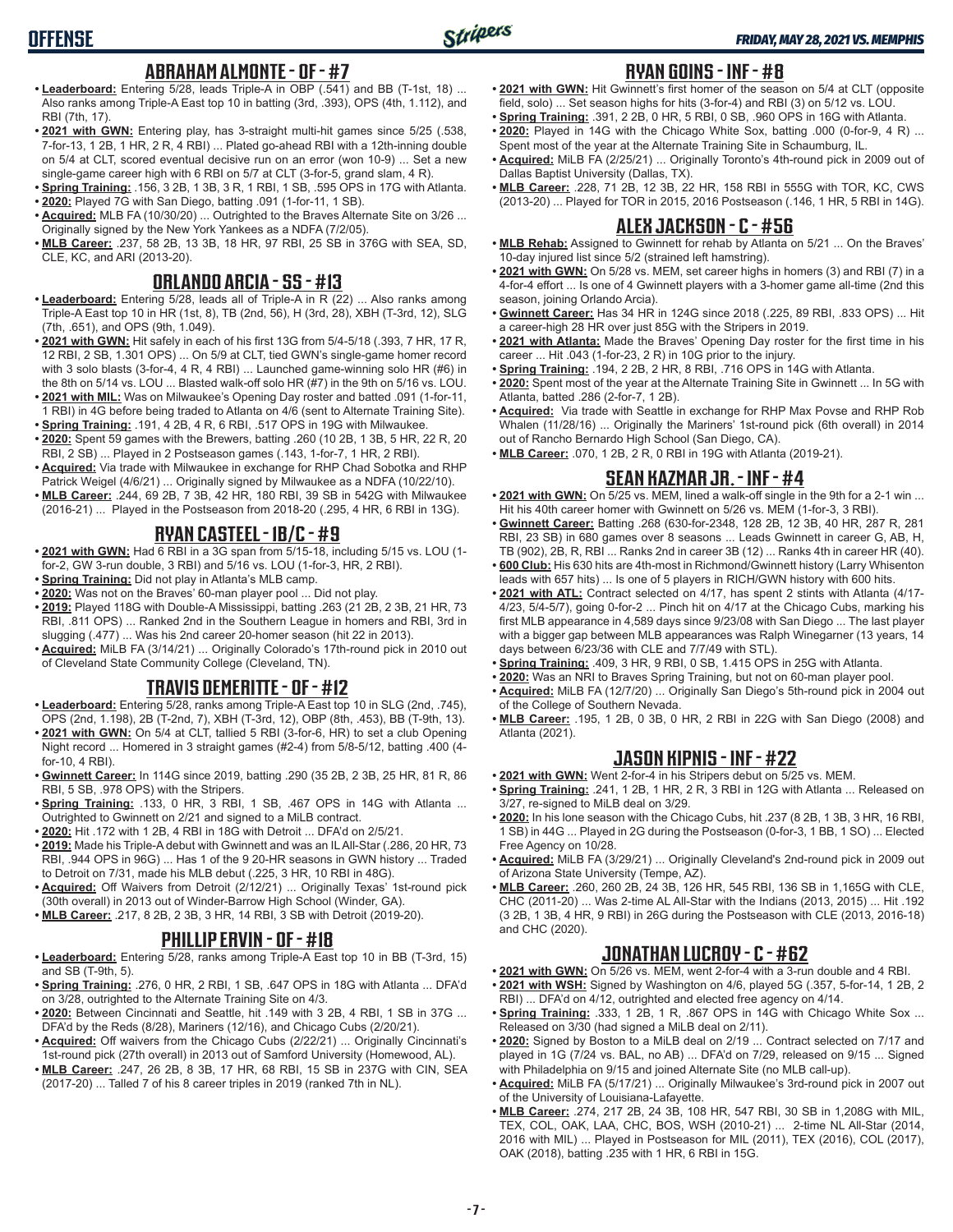## **OFFENSE**

### **ABRAHAM ALMONTE - OF - #7**

- **• Leaderboard:** Entering 5/28, leads Triple-A in OBP (.541) and BB (T-1st, 18) ... Also ranks among Triple-A East top 10 in batting (3rd, .393), OPS (4th, 1.112), and RBI (7th, 17).
- **• 2021 with GWN:** Entering play, has 3-straight multi-hit games since 5/25 (.538, 7-for-13, 1 2B, 1 HR, 2 R, 4 RBI) ... Plated go-ahead RBI with a 12th-inning double on 5/4 at CLT, scored eventual decisive run on an error (won 10-9) ... Set a new single-game career high with 6 RBI on 5/7 at CLT (3-for-5, grand slam, 4 R).
- **• Spring Training:** .156, 3 2B, 1 3B, 3 R, 1 RBI, 1 SB, .595 OPS in 17G with Atlanta. **• 2020:** Played 7G with San Diego, batting .091 (1-for-11, 1 SB).
- **• Acquired:** MLB FA (10/30/20) ... Outrighted to the Braves Alternate Site on 3/26 ... Originally signed by the New York Yankees as a NDFA (7/2/05).
- **• MLB Career:** .237, 58 2B, 13 3B, 18 HR, 97 RBI, 25 SB in 376G with SEA, SD, CLE, KC, and ARI (2013-20).

### **ORLANDO ARCIA - SS - #13**

- **• Leaderboard:** Entering 5/28, leads all of Triple-A in R (22) ... Also ranks among Triple-A East top 10 in HR (1st, 8), TB (2nd, 56), H (3rd, 28), XBH (T-3rd, 12), SLG (7th, .651), and OPS (9th, 1.049).
- **• 2021 with GWN:** Hit safely in each of his first 13G from 5/4-5/18 (.393, 7 HR, 17 R, 12 RBI, 2 SB, 1.301 OPS) ... On 5/9 at CLT, tied GWN's single-game homer record with 3 solo blasts (3-for-4, 4 R, 4 RBI) ... Launched game-winning solo HR (#6) in the 8th on 5/14 vs. LOU ... Blasted walk-off solo HR (#7) in the 9th on 5/16 vs. LOU.
- **• 2021 with MIL:** Was on Milwaukee's Opening Day roster and batted .091 (1-for-11, 1 RBI) in 4G before being traded to Atlanta on 4/6 (sent to Alternate Training Site).
- **• Spring Training:** .191, 4 2B, 4 R, 6 RBI, .517 OPS in 19G with Milwaukee. **• 2020:** Spent 59 games with the Brewers, batting .260 (10 2B, 1 3B, 5 HR, 22 R, 20
- RBI, 2 SB) ... Played in 2 Postseason games (.143, 1-for-7, 1 HR, 2 RBI). **• Acquired:** Via trade with Milwaukee in exchange for RHP Chad Sobotka and RHP
- Patrick Weigel (4/6/21) ... Originally signed by Milwaukee as a NDFA (10/22/10). **• MLB Career:** .244, 69 2B, 7 3B, 42 HR, 180 RBI, 39 SB in 542G with Milwaukee
- (2016-21) ... Played in the Postseason from 2018-20 (.295, 4 HR, 6 RBI in 13G).

#### **RYAN CASTEEL - 1B/C - #9**

- **• 2021 with GWN:** Had 6 RBI in a 3G span from 5/15-18, including 5/15 vs. LOU (1 for-2, GW 3-run double, 3 RBI) and 5/16 vs. LOU (1-for-3, HR, 2 RBI).
- **• Spring Training:** Did not play in Atlanta's MLB camp.
- **• 2020:** Was not on the Braves' 60-man player pool ... Did not play.
- **• 2019:** Played 118G with Double-A Mississippi, batting .263 (21 2B, 2 3B, 21 HR, 73 RBI, .811 OPS) ... Ranked 2nd in the Southern League in homers and RBI, 3rd in slugging (.477) ... Was his 2nd career 20-homer season (hit 22 in 2013).
- **• Acquired:** MiLB FA (3/14/21) ... Originally Colorado's 17th-round pick in 2010 out of Cleveland State Community College (Cleveland, TN).

### **TRAVIS DEMERITTE - OF - #12**

- **• Leaderboard:** Entering 5/28, ranks among Triple-A East top 10 in SLG (2nd, .745), OPS (2nd, 1.198), 2B (T-2nd, 7), XBH (T-3rd, 12), OBP (8th, .453), BB (T-9th, 13).
- **• 2021 with GWN:** On 5/4 at CLT, tallied 5 RBI (3-for-6, HR) to set a club Opening Night record ... Homered in 3 straight games (#2-4) from 5/8-5/12, batting .400 (4 for-10, 4 RBI).
- **• Gwinnett Career:** In 114G since 2019, batting .290 (35 2B, 2 3B, 25 HR, 81 R, 86 RBI, 5 SB, .978 OPS) with the Stripers.
- **• Spring Training:** .133, 0 HR, 3 RBI, 1 SB, .467 OPS in 14G with Atlanta ... Outrighted to Gwinnett on 2/21 and signed to a MiLB contract.
- **• 2020:** Hit .172 with 1 2B, 4 RBI in 18G with Detroit ... DFA'd on 2/5/21.
- **• 2019:** Made his Triple-A debut with Gwinnett and was an IL All-Star (.286, 20 HR, 73 RBI, .944 OPS in 96G) ... Has 1 of the 9 20-HR seasons in GWN history ... Traded to Detroit on 7/31, made his MLB debut (.225, 3 HR, 10 RBI in 48G).
- **• Acquired:** Off Waivers from Detroit (2/12/21) ... Originally Texas' 1st-round pick (30th overall) in 2013 out of Winder-Barrow High School (Winder, GA).
- **• MLB Career:** .217, 8 2B, 2 3B, 3 HR, 14 RBI, 3 SB with Detroit (2019-20).

### **PHILLIP ERVIN - OF - #18**

- **• Leaderboard:** Entering 5/28, ranks among Triple-A East top 10 in BB (T-3rd, 15) and SB (T-9th, 5).
- **• Spring Training:** .276, 0 HR, 2 RBI, 1 SB, .647 OPS in 18G with Atlanta ... DFA'd on 3/28, outrighted to the Alternate Training Site on 4/3.
- **• 2020:** Between Cincinnati and Seattle, hit .149 with 3 2B, 4 RBI, 1 SB in 37G ... DFA'd by the Reds (8/28), Mariners (12/16), and Chicago Cubs (2/20/21).
- **• Acquired:** Off waivers from the Chicago Cubs (2/22/21) ... Originally Cincinnati's 1st-round pick (27th overall) in 2013 out of Samford University (Homewood, AL).
- **• MLB Career:** .247, 26 2B, 8 3B, 17 HR, 68 RBI, 15 SB in 237G with CIN, SEA (2017-20) ... Talled 7 of his 8 career triples in 2019 (ranked 7th in NL).

#### **RYAN GOINS - INF - #8**

- **• 2021 with GWN:** Hit Gwinnett's first homer of the season on 5/4 at CLT (opposite field, solo) ... Set season highs for hits (3-for-4) and RBI (3) on 5/12 vs. LOU.
- **• Spring Training:** .391, 2 2B, 0 HR, 5 RBI, 0 SB, .960 OPS in 16G with Atlanta.
- **• 2020:** Played in 14G with the Chicago White Sox, batting .000 (0-for-9, 4 R) ... Spent most of the year at the Alternate Training Site in Schaumburg, IL.
- **• Acquired:** MiLB FA (2/25/21) ... Originally Toronto's 4th-round pick in 2009 out of Dallas Baptist University (Dallas, TX).
- **• MLB Career:** .228, 71 2B, 12 3B, 22 HR, 158 RBI in 555G with TOR, KC, CWS (2013-20) ... Played for TOR in 2015, 2016 Postseason (.146, 1 HR, 5 RBI in 14G).

### **ALEX JACKSON - C - #56**

- **• MLB Rehab:** Assigned to Gwinnett for rehab by Atlanta on 5/21 ... On the Braves' 10-day injured list since 5/2 (strained left hamstring).
- **• 2021 with GWN:** On 5/28 vs. MEM, set career highs in homers (3) and RBI (7) in a 4-for-4 effort ... Is one of 4 Gwinnett players with a 3-homer game all-time (2nd this season, joining Orlando Arcia).
- **• Gwinnett Career:** Has 34 HR in 124G since 2018 (.225, 89 RBI, .833 OPS) ... Hit a career-high 28 HR over just 85G with the Stripers in 2019.
- **• 2021 with Atlanta:** Made the Braves' Opening Day roster for the first time in his career ... Hit .043 (1-for-23, 2 R) in 10G prior to the injury.
- **• Spring Training:** .194, 2 2B, 2 HR, 8 RBI, .716 OPS in 14G with Atlanta.
- **• 2020:** Spent most of the year at the Alternate Training Site in Gwinnett ... In 5G with Atlanta, batted .286 (2-for-7, 1 2B).
- **• Acquired:** Via trade with Seattle in exchange for RHP Max Povse and RHP Rob Whalen (11/28/16) ... Originally the Mariners' 1st-round pick (6th overall) in 2014 out of Rancho Bernardo High School (San Diego, CA).
- **• MLB Career:** .070, 1 2B, 2 R, 0 RBI in 19G with Atlanta (2019-21).

## **SEAN KAZMAR JR. - INF - #4**

- **• 2021 with GWN:** On 5/25 vs. MEM, lined a walk-off single in the 9th for a 2-1 win ... Hit his 40th career homer with Gwinnett on 5/26 vs. MEM (1-for-3, 3 RBI).
- **• Gwinnett Career:** Batting .268 (630-for-2348, 128 2B, 12 3B, 40 HR, 287 R, 281 RBI, 23 SB) in 680 games over 8 seasons ... Leads Gwinnett in career G, AB, H, TB (902), 2B, R, RBI ... Ranks 2nd in career 3B (12) ... Ranks 4th in career HR (40).
- **• 600 Club:** His 630 hits are 4th-most in Richmond/Gwinnett history (Larry Whisenton leads with 657 hits) ... Is one of 5 players in RICH/GWN history with 600 hits.
- **• 2021 with ATL:** Contract selected on 4/17, has spent 2 stints with Atlanta (4/17- 4/23, 5/4-5/7), going 0-for-2 ... Pinch hit on 4/17 at the Chicago Cubs, marking his first MLB appearance in 4,589 days since 9/23/08 with San Diego ... The last player with a bigger gap between MLB appearances was Ralph Winegarner (13 years, 14 days between 6/23/36 with CLE and 7/7/49 with STL).
- **• Spring Training:** .409, 3 HR, 9 RBI, 0 SB, 1.415 OPS in 25G with Atlanta.
- **• 2020:** Was an NRI to Braves Spring Training, but not on 60-man player pool.
- **• Acquired:** MiLB FA (12/7/20) ... Originally San Diego's 5th-round pick in 2004 out of the College of Southern Nevada.
- **• MLB Career:** .195, 1 2B, 0 3B, 0 HR, 2 RBI in 22G with San Diego (2008) and Atlanta (2021).

### **JASON KIPNIS - INF - #22**

- **• 2021 with GWN:** Went 2-for-4 in his Stripers debut on 5/25 vs. MEM.
- **• Spring Training:** .241, 1 2B, 1 HR, 2 R, 3 RBI in 12G with Atlanta ... Released on 3/27, re-signed to MiLB deal on 3/29.
- **• 2020:** In his lone season with the Chicago Cubs, hit .237 (8 2B, 1 3B, 3 HR, 16 RBI, 1 SB) in 44G ... Played in 2G during the Postseason (0-for-3, 1 BB, 1 SO) ... Elected Free Agency on 10/28.
- **• Acquired:** MiLB FA (3/29/21) ... Originally Cleveland's 2nd-round pick in 2009 out of Arizona State University (Tempe, AZ).
- **• MLB Career:** .260, 260 2B, 24 3B, 126 HR, 545 RBI, 136 SB in 1,165G with CLE, CHC (2011-20) ... Was 2-time AL All-Star with the Indians (2013, 2015) ... Hit .192 (3 2B, 1 3B, 4 HR, 9 RBI) in 26G during the Postseason with CLE (2013, 2016-18) and CHC (2020).

#### **JONATHAN LUCROY - C - #62**

- **• 2021 with GWN:** On 5/26 vs. MEM, went 2-for-4 with a 3-run double and 4 RBI. **• 2021 with WSH:** Signed by Washington on 4/6, played 5G (.357, 5-for-14, 1 2B, 2
- RBI) ... DFA'd on 4/12, outrighted and elected free agency on 4/14.
- **• Spring Training:** .333, 1 2B, 1 R, .867 OPS in 14G with Chicago White Sox ... Released on 3/30 (had signed a MiLB deal on 2/11).
- **• 2020:** Signed by Boston to a MiLB deal on 2/19 ... Contract selected on 7/17 and played in 1G (7/24 vs. BAL, no AB) ... DFA'd on 7/29, released on 9/15 ... Signed with Philadelphia on 9/15 and joined Alternate Site (no MLB call-up).
- **• Acquired:** MiLB FA (5/17/21) ... Originally Milwaukee's 3rd-round pick in 2007 out of the University of Louisiana-Lafayette.
- **• MLB Career:** .274, 217 2B, 24 3B, 108 HR, 547 RBI, 30 SB in 1,208G with MIL, TEX, COL, OAK, LAA, CHC, BOS, WSH (2010-21) ... 2-time NL All-Star (2014, 2016 with MIL) ... Played in Postseason for MIL (2011), TEX (2016), COL (2017), OAK (2018), batting .235 with 1 HR, 6 RBI in 15G.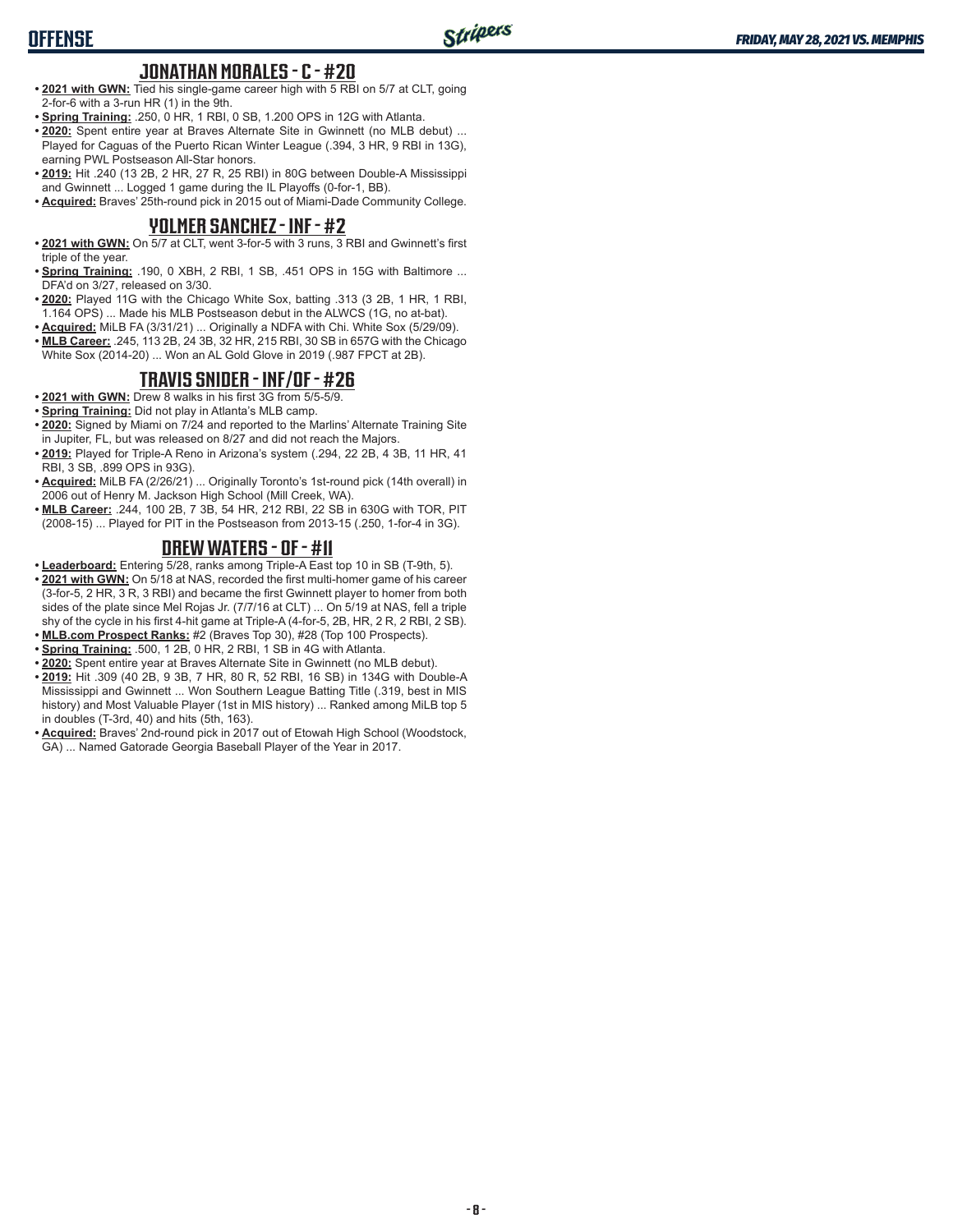#### **JONATHAN MORALES - C - #20**

- **• 2021 with GWN:** Tied his single-game career high with 5 RBI on 5/7 at CLT, going 2-for-6 with a 3-run HR (1) in the 9th.
- **• Spring Training:** .250, 0 HR, 1 RBI, 0 SB, 1.200 OPS in 12G with Atlanta.
- **• 2020:** Spent entire year at Braves Alternate Site in Gwinnett (no MLB debut) ... Played for Caguas of the Puerto Rican Winter League (.394, 3 HR, 9 RBI in 13G), earning PWL Postseason All-Star honors.
- **• 2019:** Hit .240 (13 2B, 2 HR, 27 R, 25 RBI) in 80G between Double-A Mississippi and Gwinnett ... Logged 1 game during the IL Playoffs (0-for-1, BB).

**• Acquired:** Braves' 25th-round pick in 2015 out of Miami-Dade Community College.

#### **YOLMER SANCHEZ - INF - #2**

- **• 2021 with GWN:** On 5/7 at CLT, went 3-for-5 with 3 runs, 3 RBI and Gwinnett's first triple of the year.
- **• Spring Training:** .190, 0 XBH, 2 RBI, 1 SB, .451 OPS in 15G with Baltimore ... DFA'd on 3/27, released on 3/30.
- **• 2020:** Played 11G with the Chicago White Sox, batting .313 (3 2B, 1 HR, 1 RBI, 1.164 OPS) ... Made his MLB Postseason debut in the ALWCS (1G, no at-bat).
- **• Acquired:** MiLB FA (3/31/21) ... Originally a NDFA with Chi. White Sox (5/29/09).
- **• MLB Career:** .245, 113 2B, 24 3B, 32 HR, 215 RBI, 30 SB in 657G with the Chicago White Sox (2014-20) ... Won an AL Gold Glove in 2019 (.987 FPCT at 2B).

#### **TRAVIS SNIDER - INF/OF - #26**

- **• 2021 with GWN:** Drew 8 walks in his first 3G from 5/5-5/9.
- **• Spring Training:** Did not play in Atlanta's MLB camp.
- **• 2020:** Signed by Miami on 7/24 and reported to the Marlins' Alternate Training Site in Jupiter, FL, but was released on 8/27 and did not reach the Majors.
- **• 2019:** Played for Triple-A Reno in Arizona's system (.294, 22 2B, 4 3B, 11 HR, 41 RBI, 3 SB, .899 OPS in 93G).
- **• Acquired:** MiLB FA (2/26/21) ... Originally Toronto's 1st-round pick (14th overall) in 2006 out of Henry M. Jackson High School (Mill Creek, WA).
- **• MLB Career:** .244, 100 2B, 7 3B, 54 HR, 212 RBI, 22 SB in 630G with TOR, PIT (2008-15) ... Played for PIT in the Postseason from 2013-15 (.250, 1-for-4 in 3G).

### **DREW WATERS - OF - #11**

- **• Leaderboard:** Entering 5/28, ranks among Triple-A East top 10 in SB (T-9th, 5).
- **• 2021 with GWN:** On 5/18 at NAS, recorded the first multi-homer game of his career (3-for-5, 2 HR, 3 R, 3 RBI) and became the first Gwinnett player to homer from both sides of the plate since Mel Rojas Jr. (7/7/16 at CLT) ... On 5/19 at NAS, fell a triple shy of the cycle in his first 4-hit game at Triple-A (4-for-5, 2B, HR, 2 R, 2 RBI, 2 SB).
- **• MLB.com Prospect Ranks:** #2 (Braves Top 30), #28 (Top 100 Prospects).
- **• Spring Training:** .500, 1 2B, 0 HR, 2 RBI, 1 SB in 4G with Atlanta.
- **• 2020:** Spent entire year at Braves Alternate Site in Gwinnett (no MLB debut).
- **• 2019:** Hit .309 (40 2B, 9 3B, 7 HR, 80 R, 52 RBI, 16 SB) in 134G with Double-A Mississippi and Gwinnett ... Won Southern League Batting Title (.319, best in MIS history) and Most Valuable Player (1st in MIS history) ... Ranked among MiLB top 5 in doubles (T-3rd, 40) and hits (5th, 163).
- **• Acquired:** Braves' 2nd-round pick in 2017 out of Etowah High School (Woodstock, GA) ... Named Gatorade Georgia Baseball Player of the Year in 2017.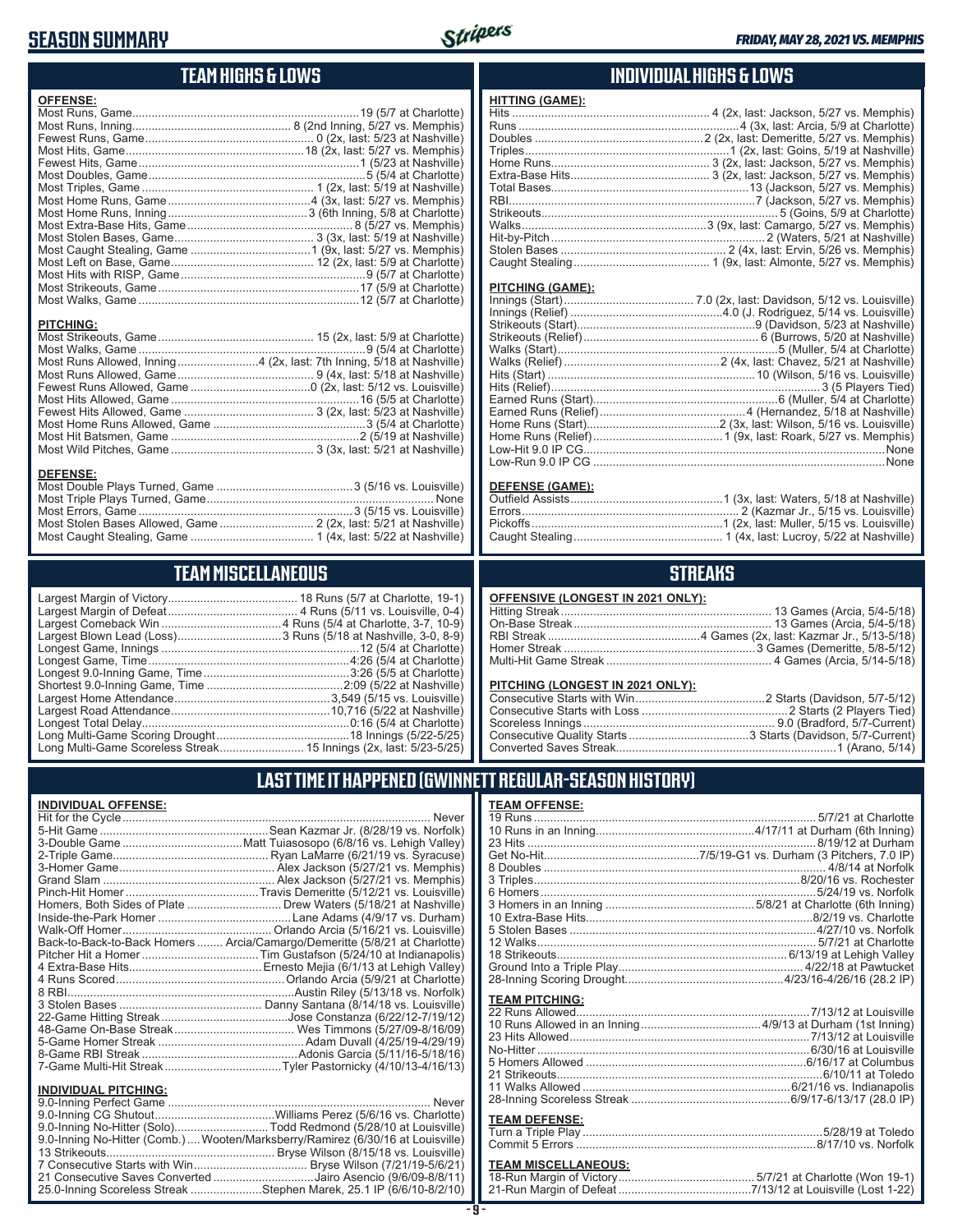## **SEASON SUMMARY**



## **TEAM HIGHS & LOWS**

| <b>OFFENSE:</b>                                                      |  |
|----------------------------------------------------------------------|--|
|                                                                      |  |
|                                                                      |  |
|                                                                      |  |
|                                                                      |  |
|                                                                      |  |
|                                                                      |  |
|                                                                      |  |
|                                                                      |  |
|                                                                      |  |
|                                                                      |  |
|                                                                      |  |
|                                                                      |  |
|                                                                      |  |
|                                                                      |  |
|                                                                      |  |
|                                                                      |  |
|                                                                      |  |
| <b>PITCHING:</b>                                                     |  |
|                                                                      |  |
|                                                                      |  |
| Most Runs Allowed, Inning4 (2x, last: 7th Inning, 5/18 at Nashville) |  |
|                                                                      |  |
|                                                                      |  |
|                                                                      |  |
|                                                                      |  |
|                                                                      |  |
|                                                                      |  |
|                                                                      |  |
| <b>DEFENSE:</b>                                                      |  |
|                                                                      |  |
|                                                                      |  |

Most Errors, Game ..................................................................3 (5/15 vs. Louisville) Most Stolen Bases Allowed, Game ............................. 2 (2x, last: 5/21 at Nashville) Most Caught Stealing, Game ...................................... 1 (4x, last: 5/22 at Nashville)

## **TEAM MISCELLANEOUS**

### **INDIVIDUAL HIGHS & LOWS**

| <b>HITTING (GAME):</b> |  |
|------------------------|--|
|                        |  |
|                        |  |
|                        |  |
|                        |  |
|                        |  |
|                        |  |
|                        |  |
|                        |  |
|                        |  |
|                        |  |
|                        |  |
|                        |  |
|                        |  |
|                        |  |

#### **PITCHING (GAME):**

| None |
|------|
|      |

#### **DEFENSE (GAME):**

### **STREAKS**

| OFFENSIVE (LONGEST IN 2021 ONLY): |  |  |  |
|-----------------------------------|--|--|--|
|-----------------------------------|--|--|--|

#### **PITCHING (LONGEST IN 2021 ONLY):**

## **LAST TIME IT HAPPENED (GWINNETT REGULAR-SEASON HISTORY)**

#### **INDIVIDUAL OFFENSE:**

|                                | Homers, Both Sides of Plate  Drew Waters (5/18/21 at Nashville)            |
|--------------------------------|----------------------------------------------------------------------------|
|                                |                                                                            |
|                                |                                                                            |
|                                | Back-to-Back-to-Back Homers  Arcia/Camargo/Demeritte (5/8/21 at Charlotte) |
|                                |                                                                            |
|                                |                                                                            |
|                                |                                                                            |
|                                |                                                                            |
|                                |                                                                            |
|                                |                                                                            |
|                                |                                                                            |
|                                |                                                                            |
|                                |                                                                            |
|                                |                                                                            |
| <b>INDIVIDUAL PITCHING:</b>    |                                                                            |
| <b>9 O-Inning Perfect Game</b> | Never                                                                      |

| 9.0-Inning No-Hitter (Solo)Todd Redmond (5/28/10 at Louisville)                |  |
|--------------------------------------------------------------------------------|--|
| 9.0-Inning No-Hitter (Comb.) Wooten/Marksberry/Ramirez (6/30/16 at Louisville) |  |
|                                                                                |  |
|                                                                                |  |
| 21 Consecutive Saves Converted Jairo Asencio (9/6/09-8/8/11)                   |  |
| 25.0-Inning Scoreless Streak Stephen Marek, 25.1 IP (6/6/10-8/2/10)            |  |

#### **TEAM OFFENSE:**

| <u>ILAM VII LIVJL.</u>     |  |
|----------------------------|--|
|                            |  |
|                            |  |
|                            |  |
|                            |  |
|                            |  |
|                            |  |
|                            |  |
|                            |  |
|                            |  |
|                            |  |
|                            |  |
|                            |  |
|                            |  |
|                            |  |
| <b>TEAM PITCHING:</b>      |  |
|                            |  |
|                            |  |
|                            |  |
|                            |  |
|                            |  |
|                            |  |
|                            |  |
|                            |  |
|                            |  |
| <b>TEAM DEFENSE:</b>       |  |
|                            |  |
|                            |  |
| <b>TEAM MISCELLANEOUS:</b> |  |

#### **TEAM MISCELLANEOUS:** 18-Run Margin of Victory .......................................... 5/7/21 at Charlotte (Won 19-1) 21-Run Margin of Defeat .........................................7/13/12 at Louisville (Lost 1-22)